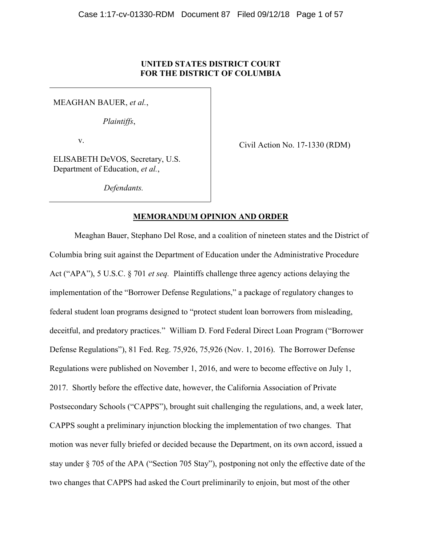# UNITED STATES DISTRICT COURT FOR THE DISTRICT OF COLUMBIA

MEAGHAN BAUER, et al.,

Plaintiffs,

v.

Civil Action No. 17-1330 (RDM)

ELISABETH DeVOS, Secretary, U.S. Department of Education, et al.,

Defendants.

## MEMORANDUM OPINION AND ORDER

Meaghan Bauer, Stephano Del Rose, and a coalition of nineteen states and the District of Columbia bring suit against the Department of Education under the Administrative Procedure Act ("APA"), 5 U.S.C. § 701 *et seq.* Plaintiffs challenge three agency actions delaying the implementation of the "Borrower Defense Regulations," a package of regulatory changes to federal student loan programs designed to "protect student loan borrowers from misleading, deceitful, and predatory practices." William D. Ford Federal Direct Loan Program ("Borrower Defense Regulations"), 81 Fed. Reg. 75,926, 75,926 (Nov. 1, 2016). The Borrower Defense Regulations were published on November 1, 2016, and were to become effective on July 1, 2017. Shortly before the effective date, however, the California Association of Private Postsecondary Schools ("CAPPS"), brought suit challenging the regulations, and, a week later, CAPPS sought a preliminary injunction blocking the implementation of two changes. That motion was never fully briefed or decided because the Department, on its own accord, issued a stay under § 705 of the APA ("Section 705 Stay"), postponing not only the effective date of the two changes that CAPPS had asked the Court preliminarily to enjoin, but most of the other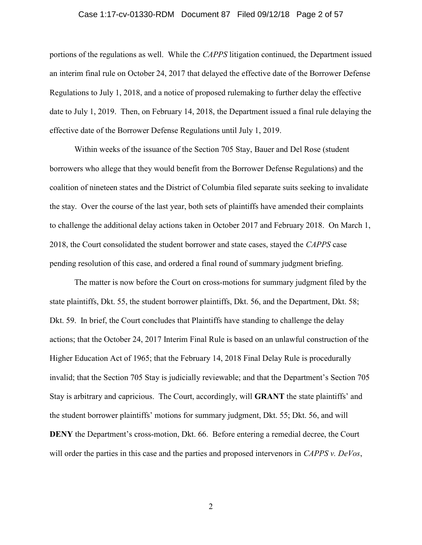## Case 1:17-cv-01330-RDM Document 87 Filed 09/12/18 Page 2 of 57

portions of the regulations as well. While the CAPPS litigation continued, the Department issued an interim final rule on October 24, 2017 that delayed the effective date of the Borrower Defense Regulations to July 1, 2018, and a notice of proposed rulemaking to further delay the effective date to July 1, 2019. Then, on February 14, 2018, the Department issued a final rule delaying the effective date of the Borrower Defense Regulations until July 1, 2019.

Within weeks of the issuance of the Section 705 Stay, Bauer and Del Rose (student borrowers who allege that they would benefit from the Borrower Defense Regulations) and the coalition of nineteen states and the District of Columbia filed separate suits seeking to invalidate the stay. Over the course of the last year, both sets of plaintiffs have amended their complaints to challenge the additional delay actions taken in October 2017 and February 2018. On March 1, 2018, the Court consolidated the student borrower and state cases, stayed the CAPPS case pending resolution of this case, and ordered a final round of summary judgment briefing.

The matter is now before the Court on cross-motions for summary judgment filed by the state plaintiffs, Dkt. 55, the student borrower plaintiffs, Dkt. 56, and the Department, Dkt. 58; Dkt. 59. In brief, the Court concludes that Plaintiffs have standing to challenge the delay actions; that the October 24, 2017 Interim Final Rule is based on an unlawful construction of the Higher Education Act of 1965; that the February 14, 2018 Final Delay Rule is procedurally invalid; that the Section 705 Stay is judicially reviewable; and that the Department's Section 705 Stay is arbitrary and capricious. The Court, accordingly, will GRANT the state plaintiffs' and the student borrower plaintiffs' motions for summary judgment, Dkt. 55; Dkt. 56, and will DENY the Department's cross-motion, Dkt. 66. Before entering a remedial decree, the Court will order the parties in this case and the parties and proposed intervenors in CAPPS v. DeVos,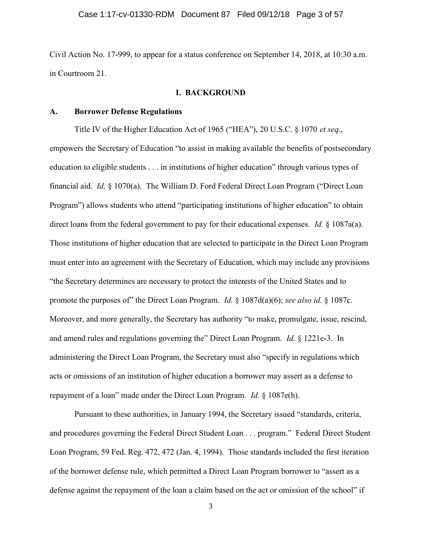Civil Action No. 17-999, to appear for a status conference on September 14, 2018, at 10:30 a.m. in Courtroom 21.

# I. BACKGROUND

#### A. Borrower Defense Regulations

Title IV of the Higher Education Act of 1965 ("HEA"), 20 U.S.C. § 1070 et seq., empowers the Secretary of Education "to assist in making available the benefits of postsecondary education to eligible students . . . in institutions of higher education" through various types of financial aid. Id. § 1070(a). The William D. Ford Federal Direct Loan Program ("Direct Loan Program") allows students who attend "participating institutions of higher education" to obtain direct loans from the federal government to pay for their educational expenses. *Id.* § 1087a(a). Those institutions of higher education that are selected to participate in the Direct Loan Program must enter into an agreement with the Secretary of Education, which may include any provisions "the Secretary determines are necessary to protect the interests of the United States and to promote the purposes of" the Direct Loan Program. *Id.*  $\S$  1087d(a)(6); see also id.  $\S$  1087c. Moreover, and more generally, the Secretary has authority "to make, promulgate, issue, rescind, and amend rules and regulations governing the" Direct Loan Program. Id. § 1221e-3. In administering the Direct Loan Program, the Secretary must also "specify in regulations which acts or omissions of an institution of higher education a borrower may assert as a defense to repayment of a loan" made under the Direct Loan Program. Id. § 1087e(h).

Pursuant to these authorities, in January 1994, the Secretary issued "standards, criteria, and procedures governing the Federal Direct Student Loan . . . program." Federal Direct Student Loan Program, 59 Fed. Reg. 472, 472 (Jan. 4, 1994). Those standards included the first iteration of the borrower defense rule, which permitted a Direct Loan Program borrower to "assert as a defense against the repayment of the loan a claim based on the act or omission of the school" if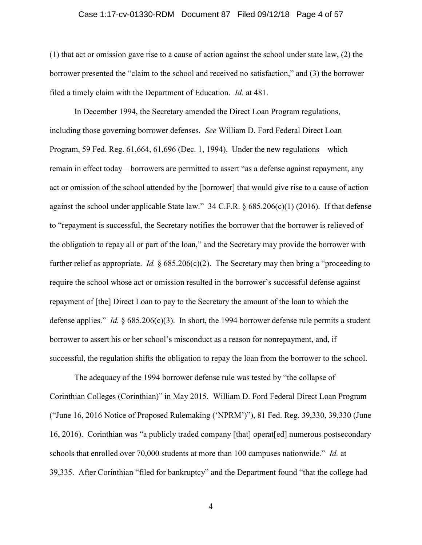### Case 1:17-cv-01330-RDM Document 87 Filed 09/12/18 Page 4 of 57

(1) that act or omission gave rise to a cause of action against the school under state law, (2) the borrower presented the "claim to the school and received no satisfaction," and (3) the borrower filed a timely claim with the Department of Education. Id. at 481.

In December 1994, the Secretary amended the Direct Loan Program regulations, including those governing borrower defenses. See William D. Ford Federal Direct Loan Program, 59 Fed. Reg. 61,664, 61,696 (Dec. 1, 1994). Under the new regulations—which remain in effect today—borrowers are permitted to assert "as a defense against repayment, any act or omission of the school attended by the [borrower] that would give rise to a cause of action against the school under applicable State law." 34 C.F.R. § 685.206(c)(1) (2016). If that defense to "repayment is successful, the Secretary notifies the borrower that the borrower is relieved of the obligation to repay all or part of the loan," and the Secretary may provide the borrower with further relief as appropriate. *Id.*  $\S 685.206(c)(2)$ . The Secretary may then bring a "proceeding to require the school whose act or omission resulted in the borrower's successful defense against repayment of [the] Direct Loan to pay to the Secretary the amount of the loan to which the defense applies." Id.  $\S 685.206(c)(3)$ . In short, the 1994 borrower defense rule permits a student borrower to assert his or her school's misconduct as a reason for nonrepayment, and, if successful, the regulation shifts the obligation to repay the loan from the borrower to the school.

The adequacy of the 1994 borrower defense rule was tested by "the collapse of Corinthian Colleges (Corinthian)" in May 2015. William D. Ford Federal Direct Loan Program ("June 16, 2016 Notice of Proposed Rulemaking ('NPRM')"), 81 Fed. Reg. 39,330, 39,330 (June 16, 2016). Corinthian was "a publicly traded company [that] operat[ed] numerous postsecondary schools that enrolled over 70,000 students at more than 100 campuses nationwide." Id. at 39,335. After Corinthian "filed for bankruptcy" and the Department found "that the college had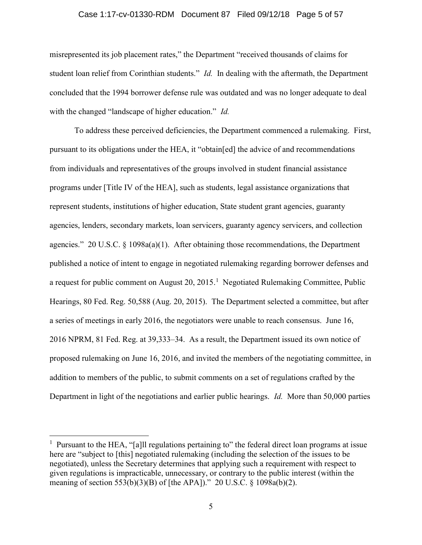#### Case 1:17-cv-01330-RDM Document 87 Filed 09/12/18 Page 5 of 57

misrepresented its job placement rates," the Department "received thousands of claims for student loan relief from Corinthian students." *Id.* In dealing with the aftermath, the Department concluded that the 1994 borrower defense rule was outdated and was no longer adequate to deal with the changed "landscape of higher education." *Id.* 

To address these perceived deficiencies, the Department commenced a rulemaking. First, pursuant to its obligations under the HEA, it "obtain[ed] the advice of and recommendations from individuals and representatives of the groups involved in student financial assistance programs under [Title IV of the HEA], such as students, legal assistance organizations that represent students, institutions of higher education, State student grant agencies, guaranty agencies, lenders, secondary markets, loan servicers, guaranty agency servicers, and collection agencies." 20 U.S.C.  $\S$  1098a(a)(1). After obtaining those recommendations, the Department published a notice of intent to engage in negotiated rulemaking regarding borrower defenses and a request for public comment on August  $20, 2015$ .<sup>1</sup> Negotiated Rulemaking Committee, Public Hearings, 80 Fed. Reg. 50,588 (Aug. 20, 2015). The Department selected a committee, but after a series of meetings in early 2016, the negotiators were unable to reach consensus. June 16, 2016 NPRM, 81 Fed. Reg. at 39,333–34. As a result, the Department issued its own notice of proposed rulemaking on June 16, 2016, and invited the members of the negotiating committee, in addition to members of the public, to submit comments on a set of regulations crafted by the Department in light of the negotiations and earlier public hearings. *Id.* More than 50,000 parties

 $\overline{a}$ 

<sup>&</sup>lt;sup>1</sup> Pursuant to the HEA, "[a]ll regulations pertaining to" the federal direct loan programs at issue here are "subject to [this] negotiated rulemaking (including the selection of the issues to be negotiated), unless the Secretary determines that applying such a requirement with respect to given regulations is impracticable, unnecessary, or contrary to the public interest (within the meaning of section 553(b)(3)(B) of [the APA])." 20 U.S.C. § 1098a(b)(2).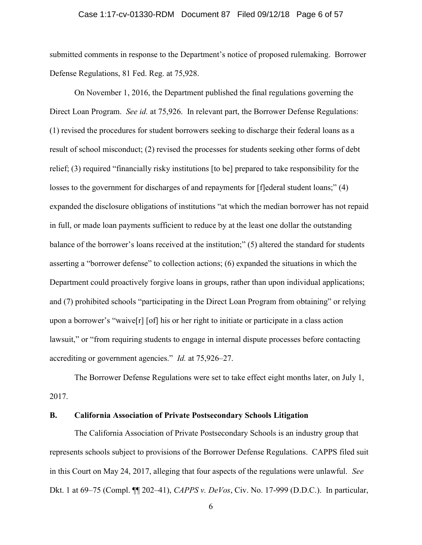### Case 1:17-cv-01330-RDM Document 87 Filed 09/12/18 Page 6 of 57

submitted comments in response to the Department's notice of proposed rulemaking. Borrower Defense Regulations, 81 Fed. Reg. at 75,928.

On November 1, 2016, the Department published the final regulations governing the Direct Loan Program. See id. at 75,926. In relevant part, the Borrower Defense Regulations: (1) revised the procedures for student borrowers seeking to discharge their federal loans as a result of school misconduct; (2) revised the processes for students seeking other forms of debt relief; (3) required "financially risky institutions [to be] prepared to take responsibility for the losses to the government for discharges of and repayments for [f]ederal student loans;" (4) expanded the disclosure obligations of institutions "at which the median borrower has not repaid in full, or made loan payments sufficient to reduce by at the least one dollar the outstanding balance of the borrower's loans received at the institution;" (5) altered the standard for students asserting a "borrower defense" to collection actions; (6) expanded the situations in which the Department could proactively forgive loans in groups, rather than upon individual applications; and (7) prohibited schools "participating in the Direct Loan Program from obtaining" or relying upon a borrower's "waive[r] [of] his or her right to initiate or participate in a class action lawsuit," or "from requiring students to engage in internal dispute processes before contacting accrediting or government agencies." Id. at 75,926–27.

The Borrower Defense Regulations were set to take effect eight months later, on July 1, 2017.

### B. California Association of Private Postsecondary Schools Litigation

The California Association of Private Postsecondary Schools is an industry group that represents schools subject to provisions of the Borrower Defense Regulations. CAPPS filed suit in this Court on May 24, 2017, alleging that four aspects of the regulations were unlawful. See Dkt. 1 at 69–75 (Compl. ¶¶ 202–41), CAPPS v. DeVos, Civ. No. 17-999 (D.D.C.). In particular,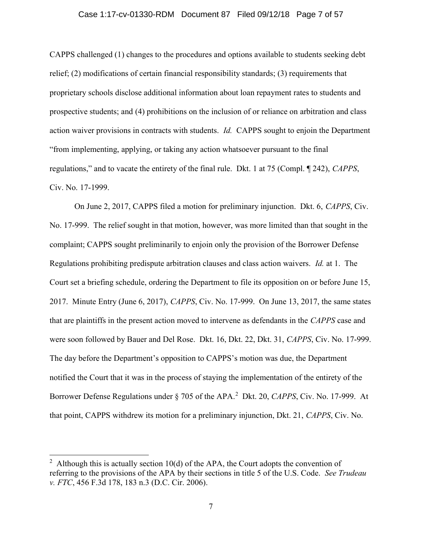### Case 1:17-cv-01330-RDM Document 87 Filed 09/12/18 Page 7 of 57

CAPPS challenged (1) changes to the procedures and options available to students seeking debt relief; (2) modifications of certain financial responsibility standards; (3) requirements that proprietary schools disclose additional information about loan repayment rates to students and prospective students; and (4) prohibitions on the inclusion of or reliance on arbitration and class action waiver provisions in contracts with students. Id. CAPPS sought to enjoin the Department "from implementing, applying, or taking any action whatsoever pursuant to the final regulations," and to vacate the entirety of the final rule. Dkt. 1 at 75 (Compl. ¶ 242), CAPPS, Civ. No. 17-1999.

On June 2, 2017, CAPPS filed a motion for preliminary injunction. Dkt. 6, CAPPS, Civ. No. 17-999. The relief sought in that motion, however, was more limited than that sought in the complaint; CAPPS sought preliminarily to enjoin only the provision of the Borrower Defense Regulations prohibiting predispute arbitration clauses and class action waivers. Id. at 1. The Court set a briefing schedule, ordering the Department to file its opposition on or before June 15, 2017. Minute Entry (June 6, 2017), CAPPS, Civ. No. 17-999. On June 13, 2017, the same states that are plaintiffs in the present action moved to intervene as defendants in the CAPPS case and were soon followed by Bauer and Del Rose. Dkt. 16, Dkt. 22, Dkt. 31, CAPPS, Civ. No. 17-999. The day before the Department's opposition to CAPPS's motion was due, the Department notified the Court that it was in the process of staying the implementation of the entirety of the Borrower Defense Regulations under  $\S 705$  of the APA.<sup>2</sup> Dkt. 20, CAPPS, Civ. No. 17-999. At that point, CAPPS withdrew its motion for a preliminary injunction, Dkt. 21, CAPPS, Civ. No.

 $\overline{a}$ 

<sup>&</sup>lt;sup>2</sup> Although this is actually section 10(d) of the APA, the Court adopts the convention of referring to the provisions of the APA by their sections in title 5 of the U.S. Code. See Trudeau v. FTC, 456 F.3d 178, 183 n.3 (D.C. Cir. 2006).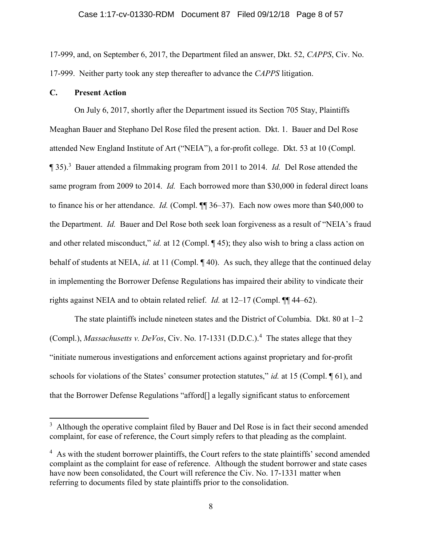17-999, and, on September 6, 2017, the Department filed an answer, Dkt. 52, CAPPS, Civ. No. 17-999. Neither party took any step thereafter to advance the CAPPS litigation.

# C. Present Action

 $\overline{a}$ 

On July 6, 2017, shortly after the Department issued its Section 705 Stay, Plaintiffs Meaghan Bauer and Stephano Del Rose filed the present action. Dkt. 1. Bauer and Del Rose attended New England Institute of Art ("NEIA"), a for-profit college. Dkt. 53 at 10 (Compl.  $\P$  35).<sup>3</sup> Bauer attended a filmmaking program from 2011 to 2014. *Id.* Del Rose attended the same program from 2009 to 2014. *Id.* Each borrowed more than \$30,000 in federal direct loans to finance his or her attendance. *Id.* (Compl. ¶¶ 36–37). Each now owes more than \$40,000 to the Department. Id. Bauer and Del Rose both seek loan forgiveness as a result of "NEIA's fraud and other related misconduct," id. at 12 (Compl. ¶ 45); they also wish to bring a class action on behalf of students at NEIA, *id.* at 11 (Compl. ¶ 40). As such, they allege that the continued delay in implementing the Borrower Defense Regulations has impaired their ability to vindicate their rights against NEIA and to obtain related relief. Id. at 12–17 (Compl. ¶¶ 44–62).

The state plaintiffs include nineteen states and the District of Columbia. Dkt. 80 at 1–2 (Compl.), *Massachusetts v. DeVos*, Civ. No. 17-1331 (D.D.C.).<sup>4</sup> The states allege that they "initiate numerous investigations and enforcement actions against proprietary and for-profit schools for violations of the States' consumer protection statutes," id. at 15 (Compl.  $\P$  61), and that the Borrower Defense Regulations "afford[] a legally significant status to enforcement

<sup>&</sup>lt;sup>3</sup> Although the operative complaint filed by Bauer and Del Rose is in fact their second amended complaint, for ease of reference, the Court simply refers to that pleading as the complaint.

 $4$  As with the student borrower plaintiffs, the Court refers to the state plaintiffs' second amended complaint as the complaint for ease of reference. Although the student borrower and state cases have now been consolidated, the Court will reference the Civ. No. 17-1331 matter when referring to documents filed by state plaintiffs prior to the consolidation.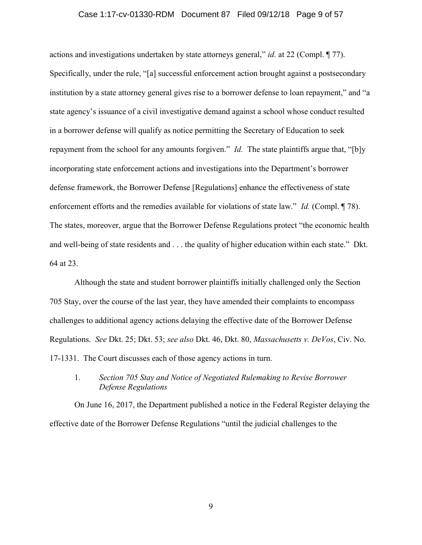### Case 1:17-cv-01330-RDM Document 87 Filed 09/12/18 Page 9 of 57

actions and investigations undertaken by state attorneys general," id. at 22 (Compl. ¶ 77). Specifically, under the rule, "[a] successful enforcement action brought against a postsecondary institution by a state attorney general gives rise to a borrower defense to loan repayment," and "a state agency's issuance of a civil investigative demand against a school whose conduct resulted in a borrower defense will qualify as notice permitting the Secretary of Education to seek repayment from the school for any amounts forgiven." *Id.* The state plaintiffs argue that, "[b]y incorporating state enforcement actions and investigations into the Department's borrower defense framework, the Borrower Defense [Regulations] enhance the effectiveness of state enforcement efforts and the remedies available for violations of state law." *Id.* (Compl. ¶ 78). The states, moreover, argue that the Borrower Defense Regulations protect "the economic health and well-being of state residents and . . . the quality of higher education within each state." Dkt. 64 at 23.

Although the state and student borrower plaintiffs initially challenged only the Section 705 Stay, over the course of the last year, they have amended their complaints to encompass challenges to additional agency actions delaying the effective date of the Borrower Defense Regulations. See Dkt. 25; Dkt. 53; see also Dkt. 46, Dkt. 80, Massachusetts v. DeVos, Civ. No. 17-1331. The Court discusses each of those agency actions in turn.

# 1. Section 705 Stay and Notice of Negotiated Rulemaking to Revise Borrower Defense Regulations

On June 16, 2017, the Department published a notice in the Federal Register delaying the effective date of the Borrower Defense Regulations "until the judicial challenges to the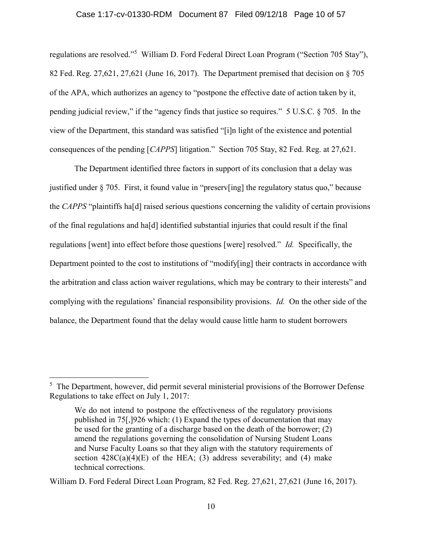#### Case 1:17-cv-01330-RDM Document 87 Filed 09/12/18 Page 10 of 57

regulations are resolved."<sup>5</sup> William D. Ford Federal Direct Loan Program ("Section 705 Stay"), 82 Fed. Reg. 27,621, 27,621 (June 16, 2017). The Department premised that decision on § 705 of the APA, which authorizes an agency to "postpone the effective date of action taken by it, pending judicial review," if the "agency finds that justice so requires." 5 U.S.C. § 705. In the view of the Department, this standard was satisfied "[i]n light of the existence and potential consequences of the pending [CAPPS] litigation." Section 705 Stay, 82 Fed. Reg. at 27,621.

The Department identified three factors in support of its conclusion that a delay was justified under § 705. First, it found value in "preserv[ing] the regulatory status quo," because the CAPPS "plaintiffs ha[d] raised serious questions concerning the validity of certain provisions of the final regulations and ha[d] identified substantial injuries that could result if the final regulations [went] into effect before those questions [were] resolved." Id. Specifically, the Department pointed to the cost to institutions of "modify[ing] their contracts in accordance with the arbitration and class action waiver regulations, which may be contrary to their interests" and complying with the regulations' financial responsibility provisions. Id. On the other side of the balance, the Department found that the delay would cause little harm to student borrowers

 $\overline{a}$ 

 $<sup>5</sup>$  The Department, however, did permit several ministerial provisions of the Borrower Defense</sup> Regulations to take effect on July 1, 2017:

We do not intend to postpone the effectiveness of the regulatory provisions published in 75[,]926 which: (1) Expand the types of documentation that may be used for the granting of a discharge based on the death of the borrower; (2) amend the regulations governing the consolidation of Nursing Student Loans and Nurse Faculty Loans so that they align with the statutory requirements of section  $428C(a)(4)(E)$  of the HEA; (3) address severability; and (4) make technical corrections.

William D. Ford Federal Direct Loan Program, 82 Fed. Reg. 27,621, 27,621 (June 16, 2017).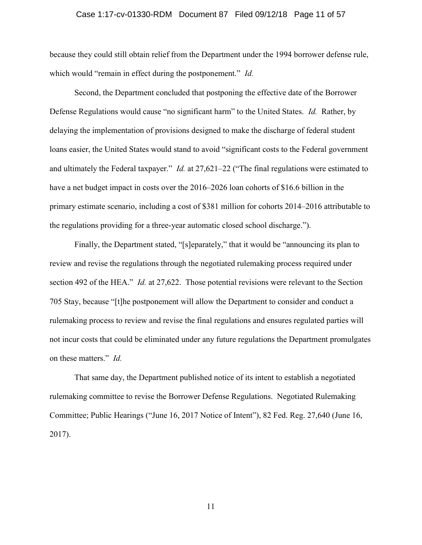### Case 1:17-cv-01330-RDM Document 87 Filed 09/12/18 Page 11 of 57

because they could still obtain relief from the Department under the 1994 borrower defense rule, which would "remain in effect during the postponement." Id.

Second, the Department concluded that postponing the effective date of the Borrower Defense Regulations would cause "no significant harm" to the United States. *Id.* Rather, by delaying the implementation of provisions designed to make the discharge of federal student loans easier, the United States would stand to avoid "significant costs to the Federal government and ultimately the Federal taxpayer." *Id.* at 27,621–22 ("The final regulations were estimated to have a net budget impact in costs over the 2016–2026 loan cohorts of \$16.6 billion in the primary estimate scenario, including a cost of \$381 million for cohorts 2014–2016 attributable to the regulations providing for a three-year automatic closed school discharge.").

Finally, the Department stated, "[s]eparately," that it would be "announcing its plan to review and revise the regulations through the negotiated rulemaking process required under section 492 of the HEA." *Id.* at 27,622. Those potential revisions were relevant to the Section 705 Stay, because "[t]he postponement will allow the Department to consider and conduct a rulemaking process to review and revise the final regulations and ensures regulated parties will not incur costs that could be eliminated under any future regulations the Department promulgates on these matters." Id.

That same day, the Department published notice of its intent to establish a negotiated rulemaking committee to revise the Borrower Defense Regulations. Negotiated Rulemaking Committee; Public Hearings ("June 16, 2017 Notice of Intent"), 82 Fed. Reg. 27,640 (June 16, 2017).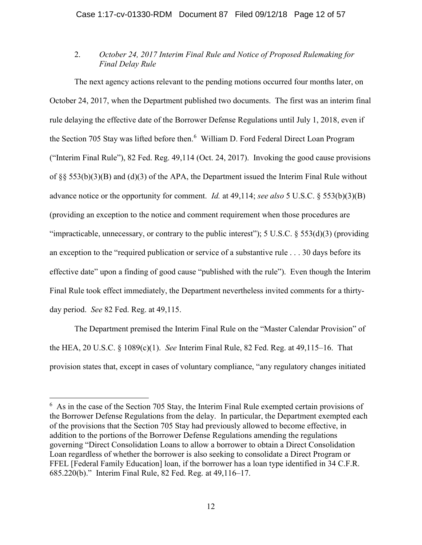# 2. October 24, 2017 Interim Final Rule and Notice of Proposed Rulemaking for Final Delay Rule

The next agency actions relevant to the pending motions occurred four months later, on October 24, 2017, when the Department published two documents. The first was an interim final rule delaying the effective date of the Borrower Defense Regulations until July 1, 2018, even if the Section 705 Stay was lifted before then.<sup>6</sup> William D. Ford Federal Direct Loan Program ("Interim Final Rule"), 82 Fed. Reg. 49,114 (Oct. 24, 2017). Invoking the good cause provisions of §§ 553(b)(3)(B) and (d)(3) of the APA, the Department issued the Interim Final Rule without advance notice or the opportunity for comment. *Id.* at 49,114; see also 5 U.S.C. § 553(b)(3)(B) (providing an exception to the notice and comment requirement when those procedures are "impracticable, unnecessary, or contrary to the public interest"); 5 U.S.C.  $\S$  553(d)(3) (providing an exception to the "required publication or service of a substantive rule . . . 30 days before its effective date" upon a finding of good cause "published with the rule"). Even though the Interim Final Rule took effect immediately, the Department nevertheless invited comments for a thirtyday period. See 82 Fed. Reg. at 49,115.

The Department premised the Interim Final Rule on the "Master Calendar Provision" of the HEA, 20 U.S.C. § 1089(c)(1). See Interim Final Rule, 82 Fed. Reg. at 49,115–16. That provision states that, except in cases of voluntary compliance, "any regulatory changes initiated

 $\overline{a}$ 

 $6$  As in the case of the Section 705 Stay, the Interim Final Rule exempted certain provisions of the Borrower Defense Regulations from the delay. In particular, the Department exempted each of the provisions that the Section 705 Stay had previously allowed to become effective, in addition to the portions of the Borrower Defense Regulations amending the regulations governing "Direct Consolidation Loans to allow a borrower to obtain a Direct Consolidation Loan regardless of whether the borrower is also seeking to consolidate a Direct Program or FFEL [Federal Family Education] loan, if the borrower has a loan type identified in 34 C.F.R. 685.220(b)." Interim Final Rule, 82 Fed. Reg. at 49,116–17.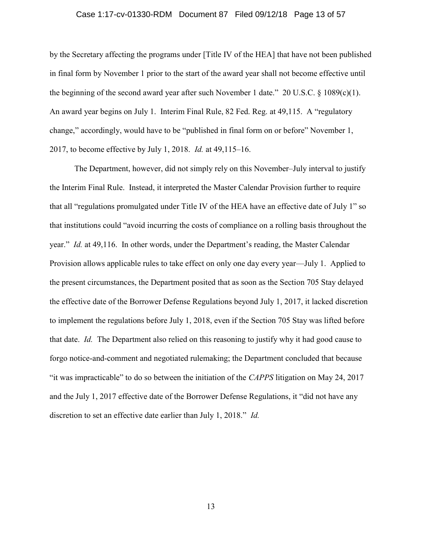### Case 1:17-cv-01330-RDM Document 87 Filed 09/12/18 Page 13 of 57

by the Secretary affecting the programs under [Title IV of the HEA] that have not been published in final form by November 1 prior to the start of the award year shall not become effective until the beginning of the second award year after such November 1 date."  $20 \text{ U.S.C.} \$   $8 \frac{1089(c)(1)}{100(c)(1)}$ . An award year begins on July 1. Interim Final Rule, 82 Fed. Reg. at 49,115. A "regulatory change," accordingly, would have to be "published in final form on or before" November 1, 2017, to become effective by July 1, 2018. Id. at 49,115–16.

The Department, however, did not simply rely on this November–July interval to justify the Interim Final Rule. Instead, it interpreted the Master Calendar Provision further to require that all "regulations promulgated under Title IV of the HEA have an effective date of July 1" so that institutions could "avoid incurring the costs of compliance on a rolling basis throughout the year." Id. at 49,116. In other words, under the Department's reading, the Master Calendar Provision allows applicable rules to take effect on only one day every year—July 1. Applied to the present circumstances, the Department posited that as soon as the Section 705 Stay delayed the effective date of the Borrower Defense Regulations beyond July 1, 2017, it lacked discretion to implement the regulations before July 1, 2018, even if the Section 705 Stay was lifted before that date. Id. The Department also relied on this reasoning to justify why it had good cause to forgo notice-and-comment and negotiated rulemaking; the Department concluded that because "it was impracticable" to do so between the initiation of the CAPPS litigation on May 24, 2017 and the July 1, 2017 effective date of the Borrower Defense Regulations, it "did not have any discretion to set an effective date earlier than July 1, 2018." Id.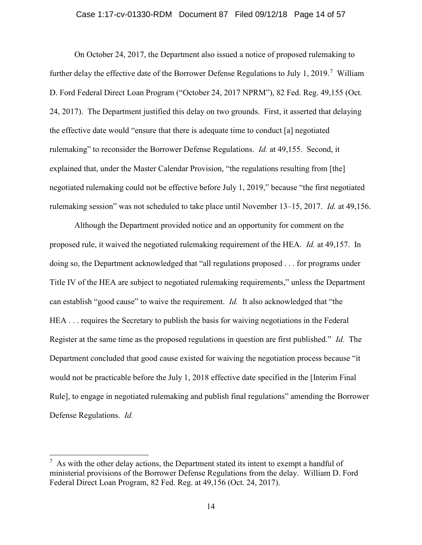### Case 1:17-cv-01330-RDM Document 87 Filed 09/12/18 Page 14 of 57

On October 24, 2017, the Department also issued a notice of proposed rulemaking to further delay the effective date of the Borrower Defense Regulations to July 1, 2019.<sup>7</sup> William D. Ford Federal Direct Loan Program ("October 24, 2017 NPRM"), 82 Fed. Reg. 49,155 (Oct. 24, 2017). The Department justified this delay on two grounds. First, it asserted that delaying the effective date would "ensure that there is adequate time to conduct [a] negotiated rulemaking" to reconsider the Borrower Defense Regulations. Id. at 49,155. Second, it explained that, under the Master Calendar Provision, "the regulations resulting from [the] negotiated rulemaking could not be effective before July 1, 2019," because "the first negotiated rulemaking session" was not scheduled to take place until November 13–15, 2017. Id. at 49,156.

Although the Department provided notice and an opportunity for comment on the proposed rule, it waived the negotiated rulemaking requirement of the HEA. Id. at 49,157. In doing so, the Department acknowledged that "all regulations proposed . . . for programs under Title IV of the HEA are subject to negotiated rulemaking requirements," unless the Department can establish "good cause" to waive the requirement. Id. It also acknowledged that "the HEA . . . requires the Secretary to publish the basis for waiving negotiations in the Federal Register at the same time as the proposed regulations in question are first published." Id. The Department concluded that good cause existed for waiving the negotiation process because "it would not be practicable before the July 1, 2018 effective date specified in the [Interim Final Rule], to engage in negotiated rulemaking and publish final regulations" amending the Borrower Defense Regulations. Id.

 $\overline{a}$ 

 $<sup>7</sup>$  As with the other delay actions, the Department stated its intent to exempt a handful of</sup> ministerial provisions of the Borrower Defense Regulations from the delay. William D. Ford Federal Direct Loan Program, 82 Fed. Reg. at 49,156 (Oct. 24, 2017).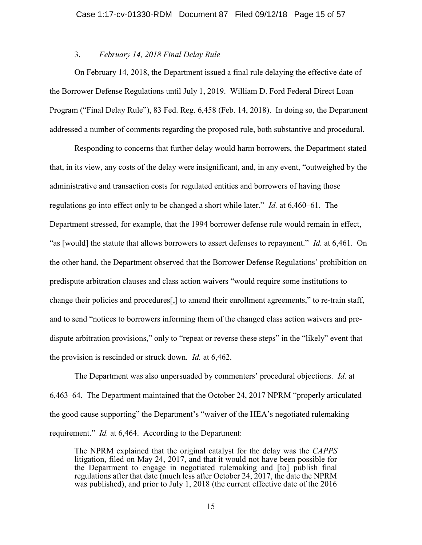# 3. February 14, 2018 Final Delay Rule

On February 14, 2018, the Department issued a final rule delaying the effective date of the Borrower Defense Regulations until July 1, 2019. William D. Ford Federal Direct Loan Program ("Final Delay Rule"), 83 Fed. Reg. 6,458 (Feb. 14, 2018). In doing so, the Department addressed a number of comments regarding the proposed rule, both substantive and procedural.

Responding to concerns that further delay would harm borrowers, the Department stated that, in its view, any costs of the delay were insignificant, and, in any event, "outweighed by the administrative and transaction costs for regulated entities and borrowers of having those regulations go into effect only to be changed a short while later." Id. at 6,460–61. The Department stressed, for example, that the 1994 borrower defense rule would remain in effect, "as [would] the statute that allows borrowers to assert defenses to repayment." Id. at 6,461. On the other hand, the Department observed that the Borrower Defense Regulations' prohibition on predispute arbitration clauses and class action waivers "would require some institutions to change their policies and procedures[,] to amend their enrollment agreements," to re-train staff, and to send "notices to borrowers informing them of the changed class action waivers and predispute arbitration provisions," only to "repeat or reverse these steps" in the "likely" event that the provision is rescinded or struck down. Id. at 6,462.

The Department was also unpersuaded by commenters' procedural objections. Id. at 6,463–64. The Department maintained that the October 24, 2017 NPRM "properly articulated the good cause supporting" the Department's "waiver of the HEA's negotiated rulemaking requirement." Id. at 6,464. According to the Department:

The NPRM explained that the original catalyst for the delay was the CAPPS litigation, filed on May 24, 2017, and that it would not have been possible for the Department to engage in negotiated rulemaking and [to] publish final regulations after that date (much less after October 24, 2017, the date the NPRM was published), and prior to July 1, 2018 (the current effective date of the 2016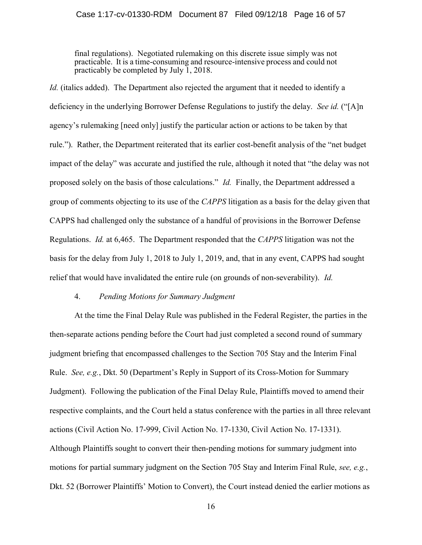### Case 1:17-cv-01330-RDM Document 87 Filed 09/12/18 Page 16 of 57

final regulations). Negotiated rulemaking on this discrete issue simply was not practicable. It is a time-consuming and resource-intensive process and could not practicably be completed by July 1, 2018.

Id. (italics added). The Department also rejected the argument that it needed to identify a deficiency in the underlying Borrower Defense Regulations to justify the delay. See id. ("[A]n agency's rulemaking [need only] justify the particular action or actions to be taken by that rule."). Rather, the Department reiterated that its earlier cost-benefit analysis of the "net budget impact of the delay" was accurate and justified the rule, although it noted that "the delay was not proposed solely on the basis of those calculations." Id. Finally, the Department addressed a group of comments objecting to its use of the CAPPS litigation as a basis for the delay given that CAPPS had challenged only the substance of a handful of provisions in the Borrower Defense Regulations. Id. at 6,465. The Department responded that the CAPPS litigation was not the basis for the delay from July 1, 2018 to July 1, 2019, and, that in any event, CAPPS had sought relief that would have invalidated the entire rule (on grounds of non-severability). Id.

# 4. Pending Motions for Summary Judgment

At the time the Final Delay Rule was published in the Federal Register, the parties in the then-separate actions pending before the Court had just completed a second round of summary judgment briefing that encompassed challenges to the Section 705 Stay and the Interim Final Rule. See, e.g., Dkt. 50 (Department's Reply in Support of its Cross-Motion for Summary Judgment). Following the publication of the Final Delay Rule, Plaintiffs moved to amend their respective complaints, and the Court held a status conference with the parties in all three relevant actions (Civil Action No. 17-999, Civil Action No. 17-1330, Civil Action No. 17-1331). Although Plaintiffs sought to convert their then-pending motions for summary judgment into motions for partial summary judgment on the Section 705 Stay and Interim Final Rule, see, e.g., Dkt. 52 (Borrower Plaintiffs' Motion to Convert), the Court instead denied the earlier motions as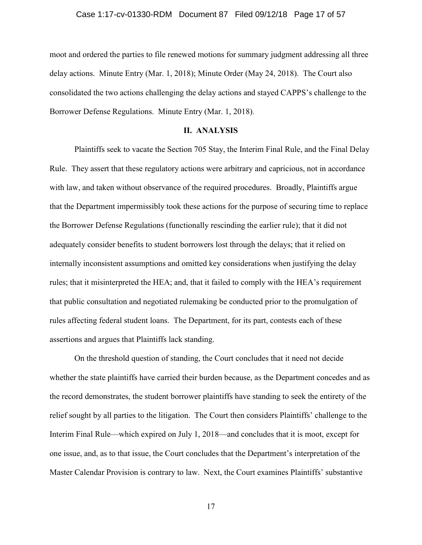### Case 1:17-cv-01330-RDM Document 87 Filed 09/12/18 Page 17 of 57

moot and ordered the parties to file renewed motions for summary judgment addressing all three delay actions. Minute Entry (Mar. 1, 2018); Minute Order (May 24, 2018). The Court also consolidated the two actions challenging the delay actions and stayed CAPPS's challenge to the Borrower Defense Regulations. Minute Entry (Mar. 1, 2018).

### II. ANALYSIS

Plaintiffs seek to vacate the Section 705 Stay, the Interim Final Rule, and the Final Delay Rule. They assert that these regulatory actions were arbitrary and capricious, not in accordance with law, and taken without observance of the required procedures. Broadly, Plaintiffs argue that the Department impermissibly took these actions for the purpose of securing time to replace the Borrower Defense Regulations (functionally rescinding the earlier rule); that it did not adequately consider benefits to student borrowers lost through the delays; that it relied on internally inconsistent assumptions and omitted key considerations when justifying the delay rules; that it misinterpreted the HEA; and, that it failed to comply with the HEA's requirement that public consultation and negotiated rulemaking be conducted prior to the promulgation of rules affecting federal student loans. The Department, for its part, contests each of these assertions and argues that Plaintiffs lack standing.

On the threshold question of standing, the Court concludes that it need not decide whether the state plaintiffs have carried their burden because, as the Department concedes and as the record demonstrates, the student borrower plaintiffs have standing to seek the entirety of the relief sought by all parties to the litigation. The Court then considers Plaintiffs' challenge to the Interim Final Rule—which expired on July 1, 2018—and concludes that it is moot, except for one issue, and, as to that issue, the Court concludes that the Department's interpretation of the Master Calendar Provision is contrary to law. Next, the Court examines Plaintiffs' substantive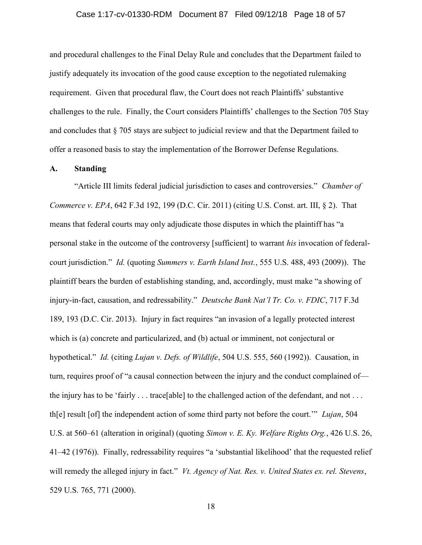### Case 1:17-cv-01330-RDM Document 87 Filed 09/12/18 Page 18 of 57

and procedural challenges to the Final Delay Rule and concludes that the Department failed to justify adequately its invocation of the good cause exception to the negotiated rulemaking requirement. Given that procedural flaw, the Court does not reach Plaintiffs' substantive challenges to the rule. Finally, the Court considers Plaintiffs' challenges to the Section 705 Stay and concludes that § 705 stays are subject to judicial review and that the Department failed to offer a reasoned basis to stay the implementation of the Borrower Defense Regulations.

### A. Standing

"Article III limits federal judicial jurisdiction to cases and controversies." Chamber of Commerce v. EPA, 642 F.3d 192, 199 (D.C. Cir. 2011) (citing U.S. Const. art. III, § 2). That means that federal courts may only adjudicate those disputes in which the plaintiff has "a personal stake in the outcome of the controversy [sufficient] to warrant his invocation of federalcourt jurisdiction." Id. (quoting Summers v. Earth Island Inst., 555 U.S. 488, 493 (2009)). The plaintiff bears the burden of establishing standing, and, accordingly, must make "a showing of injury-in-fact, causation, and redressability." Deutsche Bank Nat'l Tr. Co. v. FDIC, 717 F.3d 189, 193 (D.C. Cir. 2013). Injury in fact requires "an invasion of a legally protected interest which is (a) concrete and particularized, and (b) actual or imminent, not conjectural or hypothetical." Id. (citing Lujan v. Defs. of Wildlife, 504 U.S. 555, 560 (1992)). Causation, in turn, requires proof of "a causal connection between the injury and the conduct complained of the injury has to be 'fairly . . . trace[able] to the challenged action of the defendant, and not . . . th[e] result [of] the independent action of some third party not before the court.'" Lujan, 504 U.S. at 560–61 (alteration in original) (quoting Simon v. E. Ky. Welfare Rights Org., 426 U.S. 26, 41–42 (1976)). Finally, redressability requires "a 'substantial likelihood' that the requested relief will remedy the alleged injury in fact." *Vt. Agency of Nat. Res. v. United States ex. rel. Stevens*, 529 U.S. 765, 771 (2000).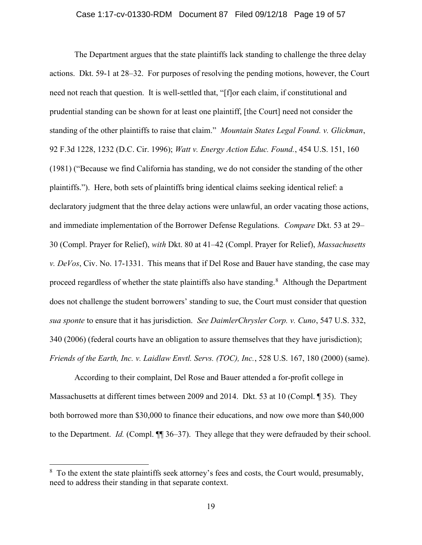### Case 1:17-cv-01330-RDM Document 87 Filed 09/12/18 Page 19 of 57

The Department argues that the state plaintiffs lack standing to challenge the three delay actions. Dkt. 59-1 at 28–32. For purposes of resolving the pending motions, however, the Court need not reach that question. It is well-settled that, "[f]or each claim, if constitutional and prudential standing can be shown for at least one plaintiff, [the Court] need not consider the standing of the other plaintiffs to raise that claim." Mountain States Legal Found. v. Glickman, 92 F.3d 1228, 1232 (D.C. Cir. 1996); Watt v. Energy Action Educ. Found., 454 U.S. 151, 160 (1981) ("Because we find California has standing, we do not consider the standing of the other plaintiffs."). Here, both sets of plaintiffs bring identical claims seeking identical relief: a declaratory judgment that the three delay actions were unlawful, an order vacating those actions, and immediate implementation of the Borrower Defense Regulations. Compare Dkt. 53 at 29– 30 (Compl. Prayer for Relief), with Dkt. 80 at 41–42 (Compl. Prayer for Relief), Massachusetts v.  $DeVos$ , Civ. No. 17-1331. This means that if Del Rose and Bauer have standing, the case may proceed regardless of whether the state plaintiffs also have standing.<sup>8</sup> Although the Department does not challenge the student borrowers' standing to sue, the Court must consider that question sua sponte to ensure that it has jurisdiction. See DaimlerChrysler Corp. v. Cuno, 547 U.S. 332, 340 (2006) (federal courts have an obligation to assure themselves that they have jurisdiction); Friends of the Earth, Inc. v. Laidlaw Envtl. Servs. (TOC), Inc., 528 U.S. 167, 180 (2000) (same).

According to their complaint, Del Rose and Bauer attended a for-profit college in Massachusetts at different times between 2009 and 2014. Dkt. 53 at 10 (Compl. ¶ 35). They both borrowed more than \$30,000 to finance their educations, and now owe more than \$40,000 to the Department. Id. (Compl. ¶¶ 36–37). They allege that they were defrauded by their school.

 $\overline{a}$ 

 $8\,$  To the extent the state plaintiffs seek attorney's fees and costs, the Court would, presumably, need to address their standing in that separate context.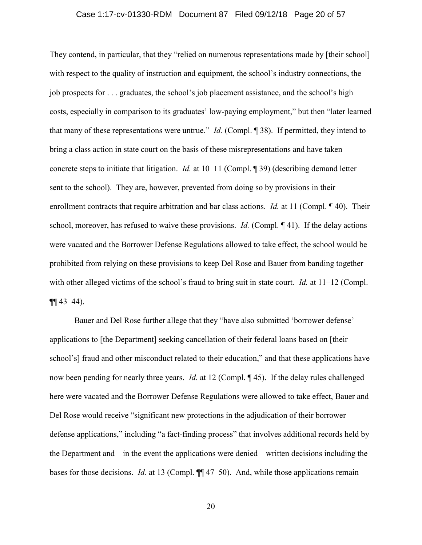### Case 1:17-cv-01330-RDM Document 87 Filed 09/12/18 Page 20 of 57

They contend, in particular, that they "relied on numerous representations made by [their school] with respect to the quality of instruction and equipment, the school's industry connections, the job prospects for . . . graduates, the school's job placement assistance, and the school's high costs, especially in comparison to its graduates' low-paying employment," but then "later learned that many of these representations were untrue." Id. (Compl.  $\P$  38). If permitted, they intend to bring a class action in state court on the basis of these misrepresentations and have taken concrete steps to initiate that litigation. Id. at 10–11 (Compl. ¶ 39) (describing demand letter sent to the school). They are, however, prevented from doing so by provisions in their enrollment contracts that require arbitration and bar class actions. *Id.* at 11 (Compl. ¶ 40). Their school, moreover, has refused to waive these provisions. *Id.* (Compl. ¶ 41). If the delay actions were vacated and the Borrower Defense Regulations allowed to take effect, the school would be prohibited from relying on these provisions to keep Del Rose and Bauer from banding together with other alleged victims of the school's fraud to bring suit in state court. *Id.* at 11–12 (Compl.  $\P\P$  43–44).

Bauer and Del Rose further allege that they "have also submitted 'borrower defense' applications to [the Department] seeking cancellation of their federal loans based on [their school's] fraud and other misconduct related to their education," and that these applications have now been pending for nearly three years. *Id.* at 12 (Compl. ¶ 45). If the delay rules challenged here were vacated and the Borrower Defense Regulations were allowed to take effect, Bauer and Del Rose would receive "significant new protections in the adjudication of their borrower defense applications," including "a fact-finding process" that involves additional records held by the Department and—in the event the applications were denied—written decisions including the bases for those decisions. *Id.* at 13 (Compl.  $\P\P$  47–50). And, while those applications remain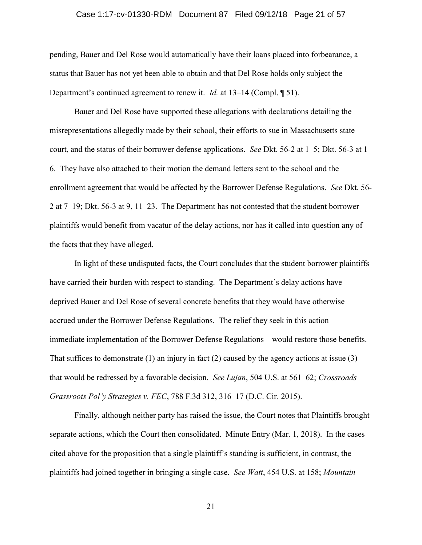### Case 1:17-cv-01330-RDM Document 87 Filed 09/12/18 Page 21 of 57

pending, Bauer and Del Rose would automatically have their loans placed into forbearance, a status that Bauer has not yet been able to obtain and that Del Rose holds only subject the Department's continued agreement to renew it. *Id.* at 13–14 (Compl. ¶ 51).

Bauer and Del Rose have supported these allegations with declarations detailing the misrepresentations allegedly made by their school, their efforts to sue in Massachusetts state court, and the status of their borrower defense applications. See Dkt. 56-2 at  $1-5$ ; Dkt. 56-3 at  $1-$ 6. They have also attached to their motion the demand letters sent to the school and the enrollment agreement that would be affected by the Borrower Defense Regulations. See Dkt. 56- 2 at 7–19; Dkt. 56-3 at 9, 11–23. The Department has not contested that the student borrower plaintiffs would benefit from vacatur of the delay actions, nor has it called into question any of the facts that they have alleged.

In light of these undisputed facts, the Court concludes that the student borrower plaintiffs have carried their burden with respect to standing. The Department's delay actions have deprived Bauer and Del Rose of several concrete benefits that they would have otherwise accrued under the Borrower Defense Regulations. The relief they seek in this action immediate implementation of the Borrower Defense Regulations—would restore those benefits. That suffices to demonstrate  $(1)$  an injury in fact  $(2)$  caused by the agency actions at issue  $(3)$ that would be redressed by a favorable decision. See Lujan, 504 U.S. at 561–62; Crossroads Grassroots Pol'y Strategies v. FEC, 788 F.3d 312, 316–17 (D.C. Cir. 2015).

Finally, although neither party has raised the issue, the Court notes that Plaintiffs brought separate actions, which the Court then consolidated. Minute Entry (Mar. 1, 2018). In the cases cited above for the proposition that a single plaintiff's standing is sufficient, in contrast, the plaintiffs had joined together in bringing a single case. See Watt, 454 U.S. at 158; Mountain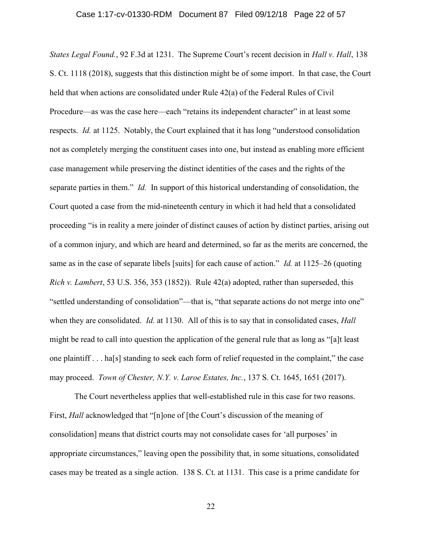### Case 1:17-cv-01330-RDM Document 87 Filed 09/12/18 Page 22 of 57

*States Legal Found.*, 92 F.3d at 1231. The Supreme Court's recent decision in *Hall v. Hall*, 138 S. Ct. 1118 (2018), suggests that this distinction might be of some import. In that case, the Court held that when actions are consolidated under Rule 42(a) of the Federal Rules of Civil Procedure—as was the case here—each "retains its independent character" in at least some respects. Id. at 1125. Notably, the Court explained that it has long "understood consolidation not as completely merging the constituent cases into one, but instead as enabling more efficient case management while preserving the distinct identities of the cases and the rights of the separate parties in them." *Id.* In support of this historical understanding of consolidation, the Court quoted a case from the mid-nineteenth century in which it had held that a consolidated proceeding "is in reality a mere joinder of distinct causes of action by distinct parties, arising out of a common injury, and which are heard and determined, so far as the merits are concerned, the same as in the case of separate libels [suits] for each cause of action." Id. at 1125–26 (quoting Rich v. Lambert, 53 U.S. 356, 353 (1852)). Rule  $42(a)$  adopted, rather than superseded, this "settled understanding of consolidation"—that is, "that separate actions do not merge into one" when they are consolidated. *Id.* at 1130. All of this is to say that in consolidated cases, *Hall* might be read to call into question the application of the general rule that as long as "[a]t least one plaintiff . . . ha[s] standing to seek each form of relief requested in the complaint," the case may proceed. Town of Chester, N.Y. v. Laroe Estates, Inc., 137 S. Ct. 1645, 1651 (2017).

The Court nevertheless applies that well-established rule in this case for two reasons. First, Hall acknowledged that "[n]one of [the Court's discussion of the meaning of consolidation] means that district courts may not consolidate cases for 'all purposes' in appropriate circumstances," leaving open the possibility that, in some situations, consolidated cases may be treated as a single action. 138 S. Ct. at 1131. This case is a prime candidate for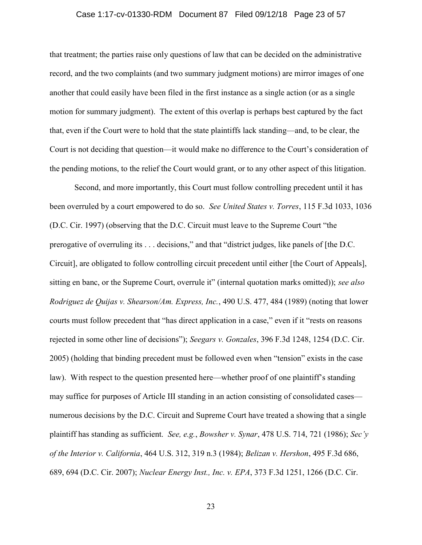### Case 1:17-cv-01330-RDM Document 87 Filed 09/12/18 Page 23 of 57

that treatment; the parties raise only questions of law that can be decided on the administrative record, and the two complaints (and two summary judgment motions) are mirror images of one another that could easily have been filed in the first instance as a single action (or as a single motion for summary judgment). The extent of this overlap is perhaps best captured by the fact that, even if the Court were to hold that the state plaintiffs lack standing—and, to be clear, the Court is not deciding that question—it would make no difference to the Court's consideration of the pending motions, to the relief the Court would grant, or to any other aspect of this litigation.

Second, and more importantly, this Court must follow controlling precedent until it has been overruled by a court empowered to do so. See United States v. Torres, 115 F.3d 1033, 1036 (D.C. Cir. 1997) (observing that the D.C. Circuit must leave to the Supreme Court "the prerogative of overruling its . . . decisions," and that "district judges, like panels of [the D.C. Circuit], are obligated to follow controlling circuit precedent until either [the Court of Appeals], sitting en banc, or the Supreme Court, overrule it" (internal quotation marks omitted)); see also Rodriguez de Quijas v. Shearson/Am. Express, Inc., 490 U.S. 477, 484 (1989) (noting that lower courts must follow precedent that "has direct application in a case," even if it "rests on reasons rejected in some other line of decisions"); Seegars v. Gonzales, 396 F.3d 1248, 1254 (D.C. Cir. 2005) (holding that binding precedent must be followed even when "tension" exists in the case law). With respect to the question presented here—whether proof of one plaintiff's standing may suffice for purposes of Article III standing in an action consisting of consolidated cases numerous decisions by the D.C. Circuit and Supreme Court have treated a showing that a single plaintiff has standing as sufficient. See, e.g., Bowsher v. Synar, 478 U.S. 714, 721 (1986); Sec'y of the Interior v. California, 464 U.S. 312, 319 n.3 (1984); Belizan v. Hershon, 495 F.3d 686, 689, 694 (D.C. Cir. 2007); Nuclear Energy Inst., Inc. v. EPA, 373 F.3d 1251, 1266 (D.C. Cir.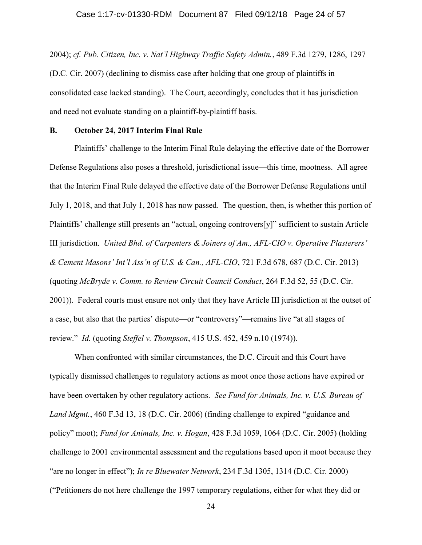### Case 1:17-cv-01330-RDM Document 87 Filed 09/12/18 Page 24 of 57

2004); cf. Pub. Citizen, Inc. v. Nat'l Highway Traffic Safety Admin., 489 F.3d 1279, 1286, 1297 (D.C. Cir. 2007) (declining to dismiss case after holding that one group of plaintiffs in consolidated case lacked standing). The Court, accordingly, concludes that it has jurisdiction and need not evaluate standing on a plaintiff-by-plaintiff basis.

### B. October 24, 2017 Interim Final Rule

Plaintiffs' challenge to the Interim Final Rule delaying the effective date of the Borrower Defense Regulations also poses a threshold, jurisdictional issue—this time, mootness. All agree that the Interim Final Rule delayed the effective date of the Borrower Defense Regulations until July 1, 2018, and that July 1, 2018 has now passed. The question, then, is whether this portion of Plaintiffs' challenge still presents an "actual, ongoing controvers[y]" sufficient to sustain Article III jurisdiction. United Bhd. of Carpenters & Joiners of Am., AFL-CIO v. Operative Plasterers' & Cement Masons' Int'l Ass'n of U.S. & Can., AFL-CIO, 721 F.3d 678, 687 (D.C. Cir. 2013) (quoting McBryde v. Comm. to Review Circuit Council Conduct, 264 F.3d 52, 55 (D.C. Cir. 2001)). Federal courts must ensure not only that they have Article III jurisdiction at the outset of a case, but also that the parties' dispute—or "controversy"—remains live "at all stages of review." Id. (quoting Steffel v. Thompson, 415 U.S. 452, 459 n.10 (1974)).

When confronted with similar circumstances, the D.C. Circuit and this Court have typically dismissed challenges to regulatory actions as moot once those actions have expired or have been overtaken by other regulatory actions. See Fund for Animals, Inc. v. U.S. Bureau of Land Mgmt., 460 F.3d 13, 18 (D.C. Cir. 2006) (finding challenge to expired "guidance and policy" moot); Fund for Animals, Inc. v. Hogan, 428 F.3d 1059, 1064 (D.C. Cir. 2005) (holding challenge to 2001 environmental assessment and the regulations based upon it moot because they "are no longer in effect"); In re Bluewater Network, 234 F.3d 1305, 1314 (D.C. Cir. 2000) ("Petitioners do not here challenge the 1997 temporary regulations, either for what they did or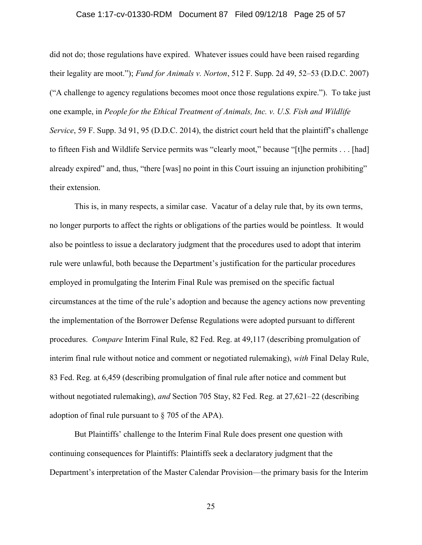### Case 1:17-cv-01330-RDM Document 87 Filed 09/12/18 Page 25 of 57

did not do; those regulations have expired. Whatever issues could have been raised regarding their legality are moot."); Fund for Animals v. Norton, 512 F. Supp. 2d 49, 52–53 (D.D.C. 2007) ("A challenge to agency regulations becomes moot once those regulations expire."). To take just one example, in People for the Ethical Treatment of Animals, Inc. v. U.S. Fish and Wildlife Service, 59 F. Supp. 3d 91, 95 (D.D.C. 2014), the district court held that the plaintiff's challenge to fifteen Fish and Wildlife Service permits was "clearly moot," because "[t]he permits . . . [had] already expired" and, thus, "there [was] no point in this Court issuing an injunction prohibiting" their extension.

This is, in many respects, a similar case. Vacatur of a delay rule that, by its own terms, no longer purports to affect the rights or obligations of the parties would be pointless. It would also be pointless to issue a declaratory judgment that the procedures used to adopt that interim rule were unlawful, both because the Department's justification for the particular procedures employed in promulgating the Interim Final Rule was premised on the specific factual circumstances at the time of the rule's adoption and because the agency actions now preventing the implementation of the Borrower Defense Regulations were adopted pursuant to different procedures. Compare Interim Final Rule, 82 Fed. Reg. at 49,117 (describing promulgation of interim final rule without notice and comment or negotiated rulemaking), with Final Delay Rule, 83 Fed. Reg. at 6,459 (describing promulgation of final rule after notice and comment but without negotiated rulemaking), and Section 705 Stay, 82 Fed. Reg. at 27,621–22 (describing adoption of final rule pursuant to § 705 of the APA).

But Plaintiffs' challenge to the Interim Final Rule does present one question with continuing consequences for Plaintiffs: Plaintiffs seek a declaratory judgment that the Department's interpretation of the Master Calendar Provision—the primary basis for the Interim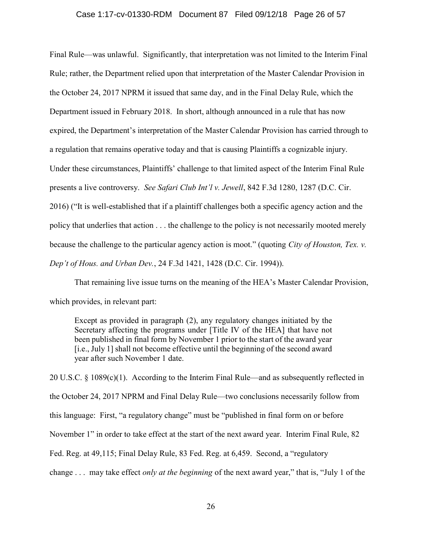#### Case 1:17-cv-01330-RDM Document 87 Filed 09/12/18 Page 26 of 57

Final Rule—was unlawful. Significantly, that interpretation was not limited to the Interim Final Rule; rather, the Department relied upon that interpretation of the Master Calendar Provision in the October 24, 2017 NPRM it issued that same day, and in the Final Delay Rule, which the Department issued in February 2018. In short, although announced in a rule that has now expired, the Department's interpretation of the Master Calendar Provision has carried through to a regulation that remains operative today and that is causing Plaintiffs a cognizable injury. Under these circumstances, Plaintiffs' challenge to that limited aspect of the Interim Final Rule presents a live controversy. See Safari Club Int'l v. Jewell, 842 F.3d 1280, 1287 (D.C. Cir. 2016) ("It is well-established that if a plaintiff challenges both a specific agency action and the policy that underlies that action . . . the challenge to the policy is not necessarily mooted merely because the challenge to the particular agency action is moot." (quoting *City of Houston, Tex. v.* Dep't of Hous. and Urban Dev., 24 F.3d 1421, 1428 (D.C. Cir. 1994)).

That remaining live issue turns on the meaning of the HEA's Master Calendar Provision, which provides, in relevant part:

Except as provided in paragraph (2), any regulatory changes initiated by the Secretary affecting the programs under [Title IV of the HEA] that have not been published in final form by November 1 prior to the start of the award year [i.e., July 1] shall not become effective until the beginning of the second award year after such November 1 date.

20 U.S.C. § 1089(c)(1). According to the Interim Final Rule—and as subsequently reflected in the October 24, 2017 NPRM and Final Delay Rule—two conclusions necessarily follow from this language: First, "a regulatory change" must be "published in final form on or before November 1" in order to take effect at the start of the next award year. Interim Final Rule, 82 Fed. Reg. at 49,115; Final Delay Rule, 83 Fed. Reg. at 6,459. Second, a "regulatory change . . . may take effect *only at the beginning* of the next award year," that is, "July 1 of the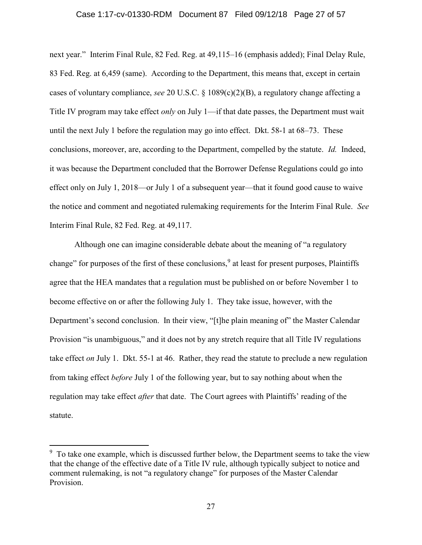#### Case 1:17-cv-01330-RDM Document 87 Filed 09/12/18 Page 27 of 57

next year." Interim Final Rule, 82 Fed. Reg. at 49,115–16 (emphasis added); Final Delay Rule, 83 Fed. Reg. at 6,459 (same). According to the Department, this means that, except in certain cases of voluntary compliance, see 20 U.S.C. § 1089(c)(2)(B), a regulatory change affecting a Title IV program may take effect *only* on July 1—if that date passes, the Department must wait until the next July 1 before the regulation may go into effect. Dkt. 58-1 at 68–73. These conclusions, moreover, are, according to the Department, compelled by the statute. Id. Indeed, it was because the Department concluded that the Borrower Defense Regulations could go into effect only on July 1, 2018—or July 1 of a subsequent year—that it found good cause to waive the notice and comment and negotiated rulemaking requirements for the Interim Final Rule. See Interim Final Rule, 82 Fed. Reg. at 49,117.

Although one can imagine considerable debate about the meaning of "a regulatory change" for purposes of the first of these conclusions,<sup>9</sup> at least for present purposes, Plaintiffs agree that the HEA mandates that a regulation must be published on or before November 1 to become effective on or after the following July 1. They take issue, however, with the Department's second conclusion. In their view, "[t]he plain meaning of" the Master Calendar Provision "is unambiguous," and it does not by any stretch require that all Title IV regulations take effect on July 1. Dkt. 55-1 at 46. Rather, they read the statute to preclude a new regulation from taking effect before July 1 of the following year, but to say nothing about when the regulation may take effect *after* that date. The Court agrees with Plaintiffs' reading of the statute.

 $\overline{a}$ 

 $9\,$  To take one example, which is discussed further below, the Department seems to take the view that the change of the effective date of a Title IV rule, although typically subject to notice and comment rulemaking, is not "a regulatory change" for purposes of the Master Calendar Provision.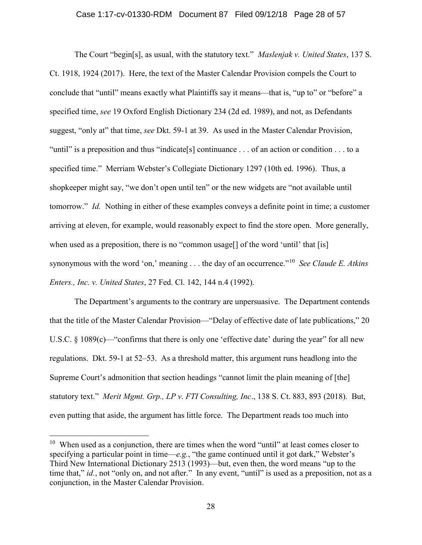#### Case 1:17-cv-01330-RDM Document 87 Filed 09/12/18 Page 28 of 57

The Court "begin[s], as usual, with the statutory text." *Maslenjak v. United States*, 137 S. Ct. 1918, 1924 (2017). Here, the text of the Master Calendar Provision compels the Court to conclude that "until" means exactly what Plaintiffs say it means—that is, "up to" or "before" a specified time, see 19 Oxford English Dictionary 234 (2d ed. 1989), and not, as Defendants suggest, "only at" that time, see Dkt. 59-1 at 39. As used in the Master Calendar Provision, "until" is a preposition and thus "indicate [s] continuance ... of an action or condition ... to a specified time." Merriam Webster's Collegiate Dictionary 1297 (10th ed. 1996). Thus, a shopkeeper might say, "we don't open until ten" or the new widgets are "not available until tomorrow." Id. Nothing in either of these examples conveys a definite point in time; a customer arriving at eleven, for example, would reasonably expect to find the store open. More generally, when used as a preposition, there is no "common usage<sup>[]</sup> of the word 'until' that [is] synonymous with the word 'on,' meaning . . . the day of an occurrence."<sup>10</sup> See Claude E. Atkins Enters., Inc. v. United States, 27 Fed. Cl. 142, 144 n.4 (1992).

The Department's arguments to the contrary are unpersuasive. The Department contends that the title of the Master Calendar Provision—"Delay of effective date of late publications," 20 U.S.C. § 1089(c)—"confirms that there is only one 'effective date' during the year" for all new regulations. Dkt. 59-1 at 52–53. As a threshold matter, this argument runs headlong into the Supreme Court's admonition that section headings "cannot limit the plain meaning of [the] statutory text." Merit Mgmt. Grp., LP v. FTI Consulting, Inc., 138 S. Ct. 883, 893 (2018). But, even putting that aside, the argument has little force. The Department reads too much into

 $\overline{a}$ 

 $10$  When used as a conjunction, there are times when the word "until" at least comes closer to specifying a particular point in time—e.g., "the game continued until it got dark," Webster's Third New International Dictionary 2513 (1993)—but, even then, the word means "up to the time that," id., not "only on, and not after." In any event, "until" is used as a preposition, not as a conjunction, in the Master Calendar Provision.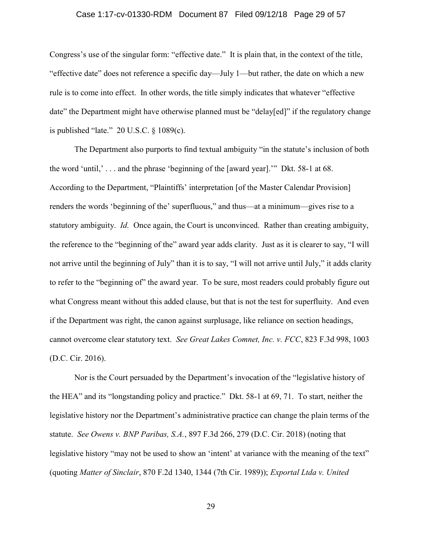### Case 1:17-cv-01330-RDM Document 87 Filed 09/12/18 Page 29 of 57

Congress's use of the singular form: "effective date." It is plain that, in the context of the title, "effective date" does not reference a specific day—July 1—but rather, the date on which a new rule is to come into effect. In other words, the title simply indicates that whatever "effective date" the Department might have otherwise planned must be "delay[ed]" if the regulatory change is published "late." 20 U.S.C. § 1089(c).

The Department also purports to find textual ambiguity "in the statute's inclusion of both the word 'until,' . . . and the phrase 'beginning of the [award year].'" Dkt. 58-1 at 68. According to the Department, "Plaintiffs' interpretation [of the Master Calendar Provision] renders the words 'beginning of the' superfluous," and thus—at a minimum—gives rise to a statutory ambiguity. Id. Once again, the Court is unconvinced. Rather than creating ambiguity, the reference to the "beginning of the" award year adds clarity. Just as it is clearer to say, "I will not arrive until the beginning of July" than it is to say, "I will not arrive until July," it adds clarity to refer to the "beginning of" the award year. To be sure, most readers could probably figure out what Congress meant without this added clause, but that is not the test for superfluity. And even if the Department was right, the canon against surplusage, like reliance on section headings, cannot overcome clear statutory text. See Great Lakes Comnet, Inc. v. FCC, 823 F.3d 998, 1003 (D.C. Cir. 2016).

Nor is the Court persuaded by the Department's invocation of the "legislative history of the HEA" and its "longstanding policy and practice." Dkt. 58-1 at 69, 71. To start, neither the legislative history nor the Department's administrative practice can change the plain terms of the statute. See Owens v. BNP Paribas, S.A., 897 F.3d 266, 279 (D.C. Cir. 2018) (noting that legislative history "may not be used to show an 'intent' at variance with the meaning of the text" (quoting Matter of Sinclair, 870 F.2d 1340, 1344 (7th Cir. 1989)); Exportal Ltda v. United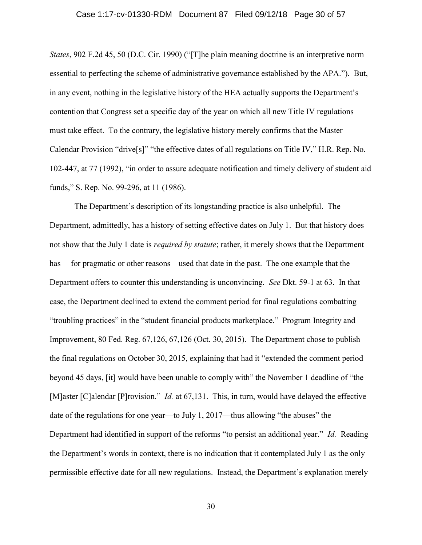### Case 1:17-cv-01330-RDM Document 87 Filed 09/12/18 Page 30 of 57

States, 902 F.2d 45, 50 (D.C. Cir. 1990) ("[T]he plain meaning doctrine is an interpretive norm essential to perfecting the scheme of administrative governance established by the APA."). But, in any event, nothing in the legislative history of the HEA actually supports the Department's contention that Congress set a specific day of the year on which all new Title IV regulations must take effect. To the contrary, the legislative history merely confirms that the Master Calendar Provision "drive[s]" "the effective dates of all regulations on Title IV," H.R. Rep. No. 102-447, at 77 (1992), "in order to assure adequate notification and timely delivery of student aid funds," S. Rep. No. 99-296, at 11 (1986).

The Department's description of its longstanding practice is also unhelpful. The Department, admittedly, has a history of setting effective dates on July 1. But that history does not show that the July 1 date is *required by statute*; rather, it merely shows that the Department has —for pragmatic or other reasons—used that date in the past. The one example that the Department offers to counter this understanding is unconvincing. See Dkt. 59-1 at 63. In that case, the Department declined to extend the comment period for final regulations combatting "troubling practices" in the "student financial products marketplace." Program Integrity and Improvement, 80 Fed. Reg. 67,126, 67,126 (Oct. 30, 2015). The Department chose to publish the final regulations on October 30, 2015, explaining that had it "extended the comment period beyond 45 days, [it] would have been unable to comply with" the November 1 deadline of "the [M]aster [C]alendar [P]rovision." *Id.* at 67,131. This, in turn, would have delayed the effective date of the regulations for one year—to July 1, 2017—thus allowing "the abuses" the Department had identified in support of the reforms "to persist an additional year." Id. Reading the Department's words in context, there is no indication that it contemplated July 1 as the only permissible effective date for all new regulations. Instead, the Department's explanation merely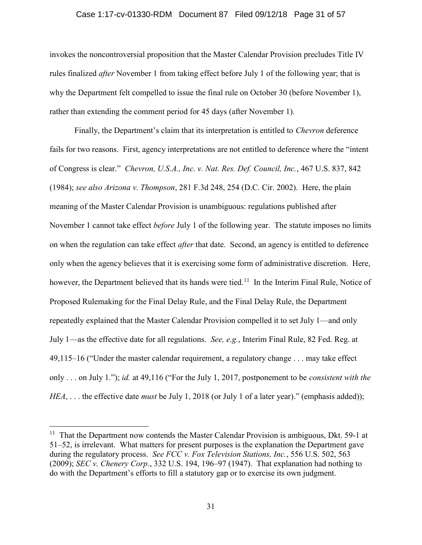#### Case 1:17-cv-01330-RDM Document 87 Filed 09/12/18 Page 31 of 57

invokes the noncontroversial proposition that the Master Calendar Provision precludes Title IV rules finalized *after* November 1 from taking effect before July 1 of the following year; that is why the Department felt compelled to issue the final rule on October 30 (before November 1), rather than extending the comment period for 45 days (after November 1).

Finally, the Department's claim that its interpretation is entitled to *Chevron* deference fails for two reasons. First, agency interpretations are not entitled to deference where the "intent of Congress is clear." Chevron, U.S.A., Inc. v. Nat. Res. Def. Council, Inc., 467 U.S. 837, 842 (1984); see also Arizona v. Thompson, 281 F.3d 248, 254 (D.C. Cir. 2002). Here, the plain meaning of the Master Calendar Provision is unambiguous: regulations published after November 1 cannot take effect *before* July 1 of the following year. The statute imposes no limits on when the regulation can take effect *after* that date. Second, an agency is entitled to deference only when the agency believes that it is exercising some form of administrative discretion. Here, however, the Department believed that its hands were tied.<sup>11</sup> In the Interim Final Rule, Notice of Proposed Rulemaking for the Final Delay Rule, and the Final Delay Rule, the Department repeatedly explained that the Master Calendar Provision compelled it to set July 1—and only July 1—as the effective date for all regulations. See, e.g., Interim Final Rule, 82 Fed. Reg. at 49,115–16 ("Under the master calendar requirement, a regulatory change . . . may take effect only . . . on July 1."); id. at 49,116 ("For the July 1, 2017, postponement to be consistent with the HEA, ... the effective date *must* be July 1, 2018 (or July 1 of a later year)." (emphasis added));

 $\overline{a}$ 

<sup>&</sup>lt;sup>11</sup> That the Department now contends the Master Calendar Provision is ambiguous, Dkt. 59-1 at 51–52, is irrelevant. What matters for present purposes is the explanation the Department gave during the regulatory process. See FCC v. Fox Television Stations, Inc., 556 U.S. 502, 563 (2009); SEC v. Chenery Corp., 332 U.S. 194, 196–97 (1947). That explanation had nothing to do with the Department's efforts to fill a statutory gap or to exercise its own judgment.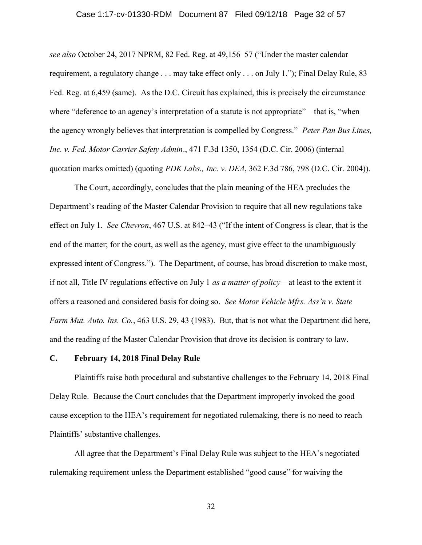### Case 1:17-cv-01330-RDM Document 87 Filed 09/12/18 Page 32 of 57

see also October 24, 2017 NPRM, 82 Fed. Reg. at 49,156–57 ("Under the master calendar requirement, a regulatory change . . . may take effect only . . . on July 1."); Final Delay Rule, 83 Fed. Reg. at 6,459 (same). As the D.C. Circuit has explained, this is precisely the circumstance where "deference to an agency's interpretation of a statute is not appropriate"—that is, "when the agency wrongly believes that interpretation is compelled by Congress." Peter Pan Bus Lines, Inc. v. Fed. Motor Carrier Safety Admin., 471 F.3d 1350, 1354 (D.C. Cir. 2006) (internal quotation marks omitted) (quoting PDK Labs., Inc. v. DEA, 362 F.3d 786, 798 (D.C. Cir. 2004)).

 The Court, accordingly, concludes that the plain meaning of the HEA precludes the Department's reading of the Master Calendar Provision to require that all new regulations take effect on July 1. See Chevron, 467 U.S. at 842–43 ("If the intent of Congress is clear, that is the end of the matter; for the court, as well as the agency, must give effect to the unambiguously expressed intent of Congress."). The Department, of course, has broad discretion to make most, if not all, Title IV regulations effective on July 1 *as a matter of policy*—at least to the extent it offers a reasoned and considered basis for doing so. See Motor Vehicle Mfrs. Ass'n v. State Farm Mut. Auto. Ins. Co., 463 U.S. 29, 43 (1983). But, that is not what the Department did here, and the reading of the Master Calendar Provision that drove its decision is contrary to law.

#### C. February 14, 2018 Final Delay Rule

Plaintiffs raise both procedural and substantive challenges to the February 14, 2018 Final Delay Rule. Because the Court concludes that the Department improperly invoked the good cause exception to the HEA's requirement for negotiated rulemaking, there is no need to reach Plaintiffs' substantive challenges.

All agree that the Department's Final Delay Rule was subject to the HEA's negotiated rulemaking requirement unless the Department established "good cause" for waiving the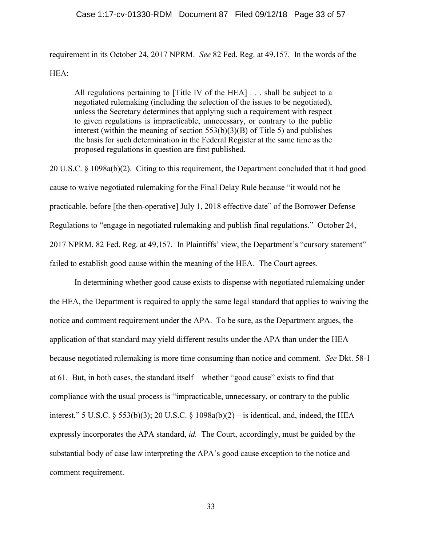#### Case 1:17-cv-01330-RDM Document 87 Filed 09/12/18 Page 33 of 57

requirement in its October 24, 2017 NPRM. See 82 Fed. Reg. at 49,157. In the words of the HEA:

All regulations pertaining to [Title IV of the HEA] . . . shall be subject to a negotiated rulemaking (including the selection of the issues to be negotiated), unless the Secretary determines that applying such a requirement with respect to given regulations is impracticable, unnecessary, or contrary to the public interest (within the meaning of section 553(b)(3)(B) of Title 5) and publishes the basis for such determination in the Federal Register at the same time as the proposed regulations in question are first published.

20 U.S.C. § 1098a(b)(2). Citing to this requirement, the Department concluded that it had good cause to waive negotiated rulemaking for the Final Delay Rule because "it would not be practicable, before [the then-operative] July 1, 2018 effective date" of the Borrower Defense Regulations to "engage in negotiated rulemaking and publish final regulations." October 24, 2017 NPRM, 82 Fed. Reg. at 49,157. In Plaintiffs' view, the Department's "cursory statement" failed to establish good cause within the meaning of the HEA. The Court agrees.

 In determining whether good cause exists to dispense with negotiated rulemaking under the HEA, the Department is required to apply the same legal standard that applies to waiving the notice and comment requirement under the APA. To be sure, as the Department argues, the application of that standard may yield different results under the APA than under the HEA because negotiated rulemaking is more time consuming than notice and comment. See Dkt. 58-1 at 61. But, in both cases, the standard itself—whether "good cause" exists to find that compliance with the usual process is "impracticable, unnecessary, or contrary to the public interest," 5 U.S.C. § 553(b)(3); 20 U.S.C. § 1098a(b)(2)—is identical, and, indeed, the HEA expressly incorporates the APA standard, id. The Court, accordingly, must be guided by the substantial body of case law interpreting the APA's good cause exception to the notice and comment requirement.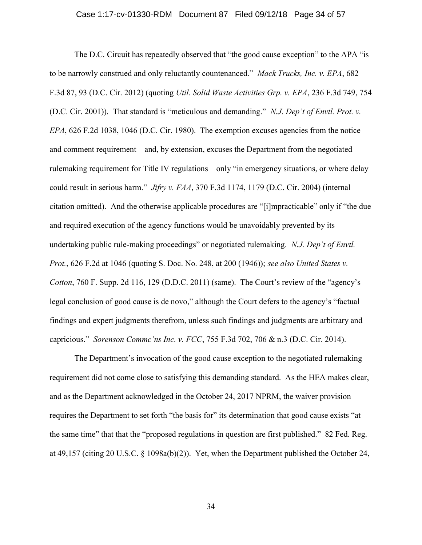### Case 1:17-cv-01330-RDM Document 87 Filed 09/12/18 Page 34 of 57

The D.C. Circuit has repeatedly observed that "the good cause exception" to the APA "is to be narrowly construed and only reluctantly countenanced." Mack Trucks, Inc. v. EPA, 682 F.3d 87, 93 (D.C. Cir. 2012) (quoting Util. Solid Waste Activities Grp. v. EPA, 236 F.3d 749, 754 (D.C. Cir. 2001)). That standard is "meticulous and demanding." N.J. Dep't of Envtl. Prot. v. EPA, 626 F.2d 1038, 1046 (D.C. Cir. 1980). The exemption excuses agencies from the notice and comment requirement—and, by extension, excuses the Department from the negotiated rulemaking requirement for Title IV regulations—only "in emergency situations, or where delay could result in serious harm." Jifry v. FAA, 370 F.3d 1174, 1179 (D.C. Cir. 2004) (internal citation omitted). And the otherwise applicable procedures are "[i]mpracticable" only if "the due and required execution of the agency functions would be unavoidably prevented by its undertaking public rule-making proceedings" or negotiated rulemaking. N.J. Dep't of Envtl. Prot., 626 F.2d at 1046 (quoting S. Doc. No. 248, at 200 (1946)); see also United States v. Cotton, 760 F. Supp. 2d 116, 129 (D.D.C. 2011) (same). The Court's review of the "agency's legal conclusion of good cause is de novo," although the Court defers to the agency's "factual findings and expert judgments therefrom, unless such findings and judgments are arbitrary and capricious." Sorenson Commc'ns Inc. v. FCC, 755 F.3d 702, 706 & n.3 (D.C. Cir. 2014).

 The Department's invocation of the good cause exception to the negotiated rulemaking requirement did not come close to satisfying this demanding standard. As the HEA makes clear, and as the Department acknowledged in the October 24, 2017 NPRM, the waiver provision requires the Department to set forth "the basis for" its determination that good cause exists "at the same time" that that the "proposed regulations in question are first published." 82 Fed. Reg. at 49,157 (citing 20 U.S.C. § 1098a(b)(2)). Yet, when the Department published the October 24,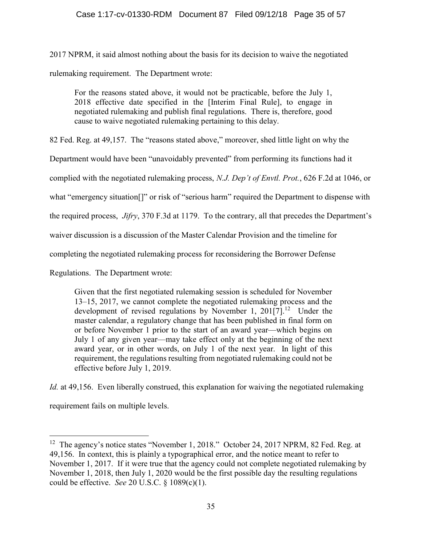2017 NPRM, it said almost nothing about the basis for its decision to waive the negotiated rulemaking requirement. The Department wrote:

For the reasons stated above, it would not be practicable, before the July 1, 2018 effective date specified in the [Interim Final Rule], to engage in negotiated rulemaking and publish final regulations. There is, therefore, good cause to waive negotiated rulemaking pertaining to this delay.

82 Fed. Reg. at 49,157. The "reasons stated above," moreover, shed little light on why the

Department would have been "unavoidably prevented" from performing its functions had it

complied with the negotiated rulemaking process, N.J. Dep't of Envtl. Prot., 626 F.2d at 1046, or

what "emergency situation[]" or risk of "serious harm" required the Department to dispense with

the required process, Jifry, 370 F.3d at 1179. To the contrary, all that precedes the Department's

waiver discussion is a discussion of the Master Calendar Provision and the timeline for

completing the negotiated rulemaking process for reconsidering the Borrower Defense

Regulations. The Department wrote:

Given that the first negotiated rulemaking session is scheduled for November 13–15, 2017, we cannot complete the negotiated rulemaking process and the development of revised regulations by November 1,  $201[7]$ .<sup>12</sup> Under the master calendar, a regulatory change that has been published in final form on or before November 1 prior to the start of an award year—which begins on July 1 of any given year—may take effect only at the beginning of the next award year, or in other words, on July 1 of the next year. In light of this requirement, the regulations resulting from negotiated rulemaking could not be effective before July 1, 2019.

Id. at 49,156. Even liberally construed, this explanation for waiving the negotiated rulemaking

requirement fails on multiple levels.

 $\overline{a}$ 

<sup>&</sup>lt;sup>12</sup> The agency's notice states "November 1, 2018." October 24, 2017 NPRM, 82 Fed. Reg. at 49,156. In context, this is plainly a typographical error, and the notice meant to refer to November 1, 2017. If it were true that the agency could not complete negotiated rulemaking by November 1, 2018, then July 1, 2020 would be the first possible day the resulting regulations could be effective. See 20 U.S.C.  $\S$  1089(c)(1).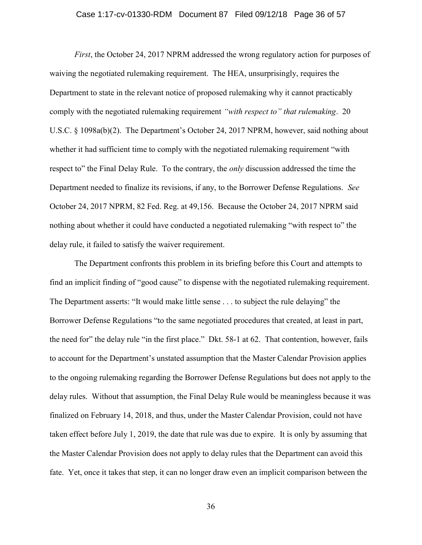### Case 1:17-cv-01330-RDM Document 87 Filed 09/12/18 Page 36 of 57

First, the October 24, 2017 NPRM addressed the wrong regulatory action for purposes of waiving the negotiated rulemaking requirement. The HEA, unsurprisingly, requires the Department to state in the relevant notice of proposed rulemaking why it cannot practicably comply with the negotiated rulemaking requirement "with respect to" that rulemaking. 20 U.S.C. § 1098a(b)(2). The Department's October 24, 2017 NPRM, however, said nothing about whether it had sufficient time to comply with the negotiated rulemaking requirement "with respect to" the Final Delay Rule. To the contrary, the *only* discussion addressed the time the Department needed to finalize its revisions, if any, to the Borrower Defense Regulations. See October 24, 2017 NPRM, 82 Fed. Reg. at 49,156. Because the October 24, 2017 NPRM said nothing about whether it could have conducted a negotiated rulemaking "with respect to" the delay rule, it failed to satisfy the waiver requirement.

 The Department confronts this problem in its briefing before this Court and attempts to find an implicit finding of "good cause" to dispense with the negotiated rulemaking requirement. The Department asserts: "It would make little sense . . . to subject the rule delaying" the Borrower Defense Regulations "to the same negotiated procedures that created, at least in part, the need for" the delay rule "in the first place." Dkt. 58-1 at 62. That contention, however, fails to account for the Department's unstated assumption that the Master Calendar Provision applies to the ongoing rulemaking regarding the Borrower Defense Regulations but does not apply to the delay rules. Without that assumption, the Final Delay Rule would be meaningless because it was finalized on February 14, 2018, and thus, under the Master Calendar Provision, could not have taken effect before July 1, 2019, the date that rule was due to expire. It is only by assuming that the Master Calendar Provision does not apply to delay rules that the Department can avoid this fate. Yet, once it takes that step, it can no longer draw even an implicit comparison between the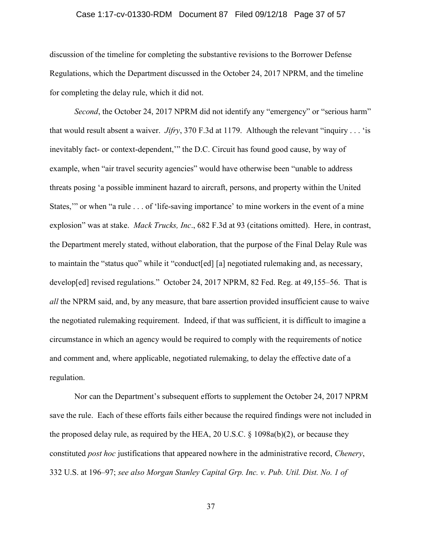### Case 1:17-cv-01330-RDM Document 87 Filed 09/12/18 Page 37 of 57

discussion of the timeline for completing the substantive revisions to the Borrower Defense Regulations, which the Department discussed in the October 24, 2017 NPRM, and the timeline for completing the delay rule, which it did not.

Second, the October 24, 2017 NPRM did not identify any "emergency" or "serious harm" that would result absent a waiver. *Jifry*, 370 F.3d at 1179. Although the relevant "inquiry . . . 'is inevitably fact- or context-dependent,'" the D.C. Circuit has found good cause, by way of example, when "air travel security agencies" would have otherwise been "unable to address threats posing 'a possible imminent hazard to aircraft, persons, and property within the United States," or when "a rule . . . of 'life-saving importance' to mine workers in the event of a mine explosion" was at stake. Mack Trucks, Inc., 682 F.3d at 93 (citations omitted). Here, in contrast, the Department merely stated, without elaboration, that the purpose of the Final Delay Rule was to maintain the "status quo" while it "conduct[ed] [a] negotiated rulemaking and, as necessary, develop[ed] revised regulations." October 24, 2017 NPRM, 82 Fed. Reg. at 49,155–56. That is all the NPRM said, and, by any measure, that bare assertion provided insufficient cause to waive the negotiated rulemaking requirement. Indeed, if that was sufficient, it is difficult to imagine a circumstance in which an agency would be required to comply with the requirements of notice and comment and, where applicable, negotiated rulemaking, to delay the effective date of a regulation.

 Nor can the Department's subsequent efforts to supplement the October 24, 2017 NPRM save the rule. Each of these efforts fails either because the required findings were not included in the proposed delay rule, as required by the HEA, 20 U.S.C. § 1098a(b)(2), or because they constituted post hoc justifications that appeared nowhere in the administrative record, Chenery, 332 U.S. at 196–97; see also Morgan Stanley Capital Grp. Inc. v. Pub. Util. Dist. No. 1 of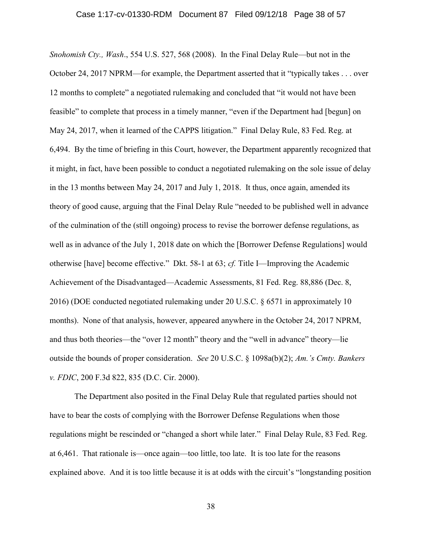Snohomish Cty., Wash., 554 U.S. 527, 568 (2008). In the Final Delay Rule—but not in the October 24, 2017 NPRM—for example, the Department asserted that it "typically takes . . . over 12 months to complete" a negotiated rulemaking and concluded that "it would not have been feasible" to complete that process in a timely manner, "even if the Department had [begun] on May 24, 2017, when it learned of the CAPPS litigation." Final Delay Rule, 83 Fed. Reg. at 6,494. By the time of briefing in this Court, however, the Department apparently recognized that it might, in fact, have been possible to conduct a negotiated rulemaking on the sole issue of delay in the 13 months between May 24, 2017 and July 1, 2018. It thus, once again, amended its theory of good cause, arguing that the Final Delay Rule "needed to be published well in advance of the culmination of the (still ongoing) process to revise the borrower defense regulations, as well as in advance of the July 1, 2018 date on which the [Borrower Defense Regulations] would otherwise [have] become effective." Dkt. 58-1 at 63; cf. Title I—Improving the Academic Achievement of the Disadvantaged—Academic Assessments, 81 Fed. Reg. 88,886 (Dec. 8, 2016) (DOE conducted negotiated rulemaking under 20 U.S.C. § 6571 in approximately 10 months). None of that analysis, however, appeared anywhere in the October 24, 2017 NPRM, and thus both theories—the "over 12 month" theory and the "well in advance" theory—lie outside the bounds of proper consideration. See 20 U.S.C. § 1098a(b)(2); Am.'s Cmty. Bankers v. FDIC, 200 F.3d 822, 835 (D.C. Cir. 2000).

The Department also posited in the Final Delay Rule that regulated parties should not have to bear the costs of complying with the Borrower Defense Regulations when those regulations might be rescinded or "changed a short while later." Final Delay Rule, 83 Fed. Reg. at 6,461. That rationale is—once again—too little, too late. It is too late for the reasons explained above. And it is too little because it is at odds with the circuit's "longstanding position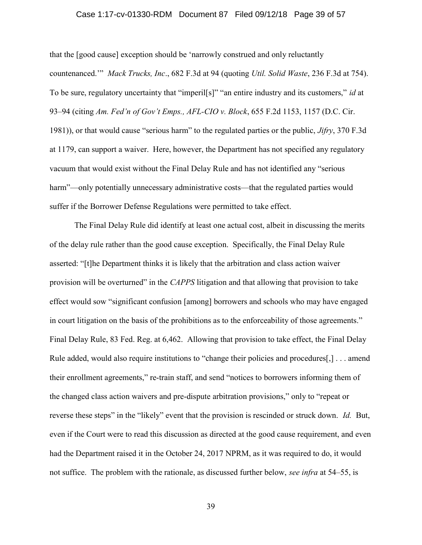### Case 1:17-cv-01330-RDM Document 87 Filed 09/12/18 Page 39 of 57

that the [good cause] exception should be 'narrowly construed and only reluctantly countenanced.'" Mack Trucks, Inc., 682 F.3d at 94 (quoting Util. Solid Waste, 236 F.3d at 754). To be sure, regulatory uncertainty that "imperil<sup>[s]"</sup> "an entire industry and its customers," *id* at 93–94 (citing Am. Fed'n of Gov't Emps., AFL-CIO v. Block, 655 F.2d 1153, 1157 (D.C. Cir. 1981)), or that would cause "serious harm" to the regulated parties or the public, *Jifry*, 370 F.3d at 1179, can support a waiver. Here, however, the Department has not specified any regulatory vacuum that would exist without the Final Delay Rule and has not identified any "serious harm"—only potentially unnecessary administrative costs—that the regulated parties would suffer if the Borrower Defense Regulations were permitted to take effect.

The Final Delay Rule did identify at least one actual cost, albeit in discussing the merits of the delay rule rather than the good cause exception. Specifically, the Final Delay Rule asserted: "[t]he Department thinks it is likely that the arbitration and class action waiver provision will be overturned" in the CAPPS litigation and that allowing that provision to take effect would sow "significant confusion [among] borrowers and schools who may have engaged in court litigation on the basis of the prohibitions as to the enforceability of those agreements." Final Delay Rule, 83 Fed. Reg. at 6,462. Allowing that provision to take effect, the Final Delay Rule added, would also require institutions to "change their policies and procedures[,] . . . amend their enrollment agreements," re-train staff, and send "notices to borrowers informing them of the changed class action waivers and pre-dispute arbitration provisions," only to "repeat or reverse these steps" in the "likely" event that the provision is rescinded or struck down. *Id.* But, even if the Court were to read this discussion as directed at the good cause requirement, and even had the Department raised it in the October 24, 2017 NPRM, as it was required to do, it would not suffice. The problem with the rationale, as discussed further below, see infra at 54–55, is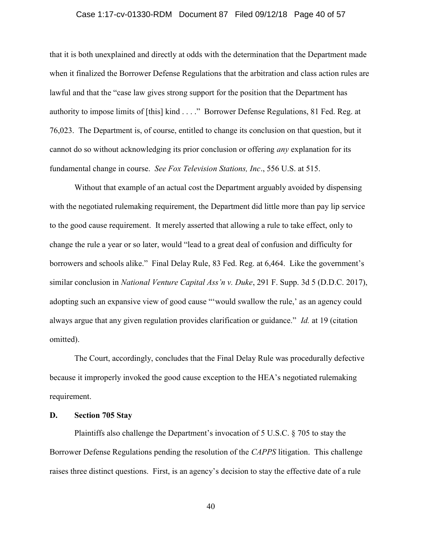### Case 1:17-cv-01330-RDM Document 87 Filed 09/12/18 Page 40 of 57

that it is both unexplained and directly at odds with the determination that the Department made when it finalized the Borrower Defense Regulations that the arbitration and class action rules are lawful and that the "case law gives strong support for the position that the Department has authority to impose limits of [this] kind . . . ." Borrower Defense Regulations, 81 Fed. Reg. at 76,023. The Department is, of course, entitled to change its conclusion on that question, but it cannot do so without acknowledging its prior conclusion or offering any explanation for its fundamental change in course. See Fox Television Stations, Inc., 556 U.S. at 515.

 Without that example of an actual cost the Department arguably avoided by dispensing with the negotiated rulemaking requirement, the Department did little more than pay lip service to the good cause requirement. It merely asserted that allowing a rule to take effect, only to change the rule a year or so later, would "lead to a great deal of confusion and difficulty for borrowers and schools alike." Final Delay Rule, 83 Fed. Reg. at 6,464. Like the government's similar conclusion in National Venture Capital Ass'n v. Duke, 291 F. Supp. 3d 5 (D.D.C. 2017), adopting such an expansive view of good cause "'would swallow the rule,' as an agency could always argue that any given regulation provides clarification or guidance." Id. at 19 (citation omitted).

The Court, accordingly, concludes that the Final Delay Rule was procedurally defective because it improperly invoked the good cause exception to the HEA's negotiated rulemaking requirement.

### D. Section 705 Stay

Plaintiffs also challenge the Department's invocation of 5 U.S.C. § 705 to stay the Borrower Defense Regulations pending the resolution of the CAPPS litigation. This challenge raises three distinct questions. First, is an agency's decision to stay the effective date of a rule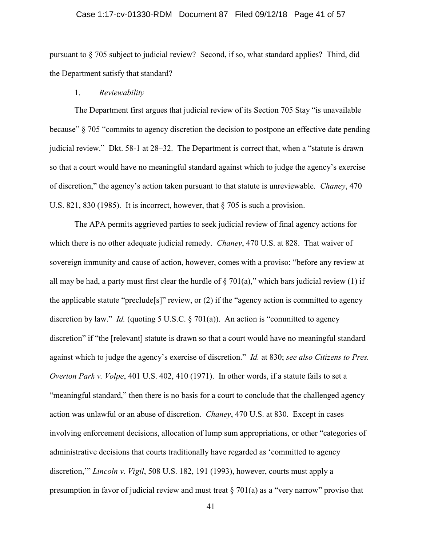### Case 1:17-cv-01330-RDM Document 87 Filed 09/12/18 Page 41 of 57

pursuant to § 705 subject to judicial review? Second, if so, what standard applies? Third, did the Department satisfy that standard?

### 1. Reviewability

The Department first argues that judicial review of its Section 705 Stay "is unavailable because" § 705 "commits to agency discretion the decision to postpone an effective date pending judicial review." Dkt. 58-1 at 28–32. The Department is correct that, when a "statute is drawn so that a court would have no meaningful standard against which to judge the agency's exercise of discretion," the agency's action taken pursuant to that statute is unreviewable. Chaney, 470 U.S. 821, 830 (1985). It is incorrect, however, that § 705 is such a provision.

The APA permits aggrieved parties to seek judicial review of final agency actions for which there is no other adequate judicial remedy. *Chaney*, 470 U.S. at 828. That waiver of sovereign immunity and cause of action, however, comes with a proviso: "before any review at all may be had, a party must first clear the hurdle of  $\S 701(a)$ ," which bars judicial review (1) if the applicable statute "preclude[s]" review, or (2) if the "agency action is committed to agency discretion by law." *Id.* (quoting 5 U.S.C.  $\S$  701(a)). An action is "committed to agency discretion" if "the [relevant] statute is drawn so that a court would have no meaningful standard against which to judge the agency's exercise of discretion." Id. at 830; see also Citizens to Pres. Overton Park v. Volpe, 401 U.S. 402, 410 (1971). In other words, if a statute fails to set a "meaningful standard," then there is no basis for a court to conclude that the challenged agency action was unlawful or an abuse of discretion. Chaney, 470 U.S. at 830. Except in cases involving enforcement decisions, allocation of lump sum appropriations, or other "categories of administrative decisions that courts traditionally have regarded as 'committed to agency discretion," *Lincoln v. Vigil*, 508 U.S. 182, 191 (1993), however, courts must apply a presumption in favor of judicial review and must treat  $\S 701(a)$  as a "very narrow" proviso that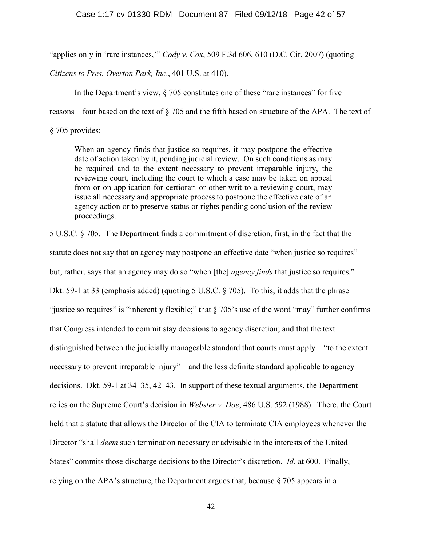"applies only in 'rare instances," Cody v. Cox, 509 F.3d 606, 610 (D.C. Cir. 2007) (quoting

Citizens to Pres. Overton Park, Inc., 401 U.S. at 410).

In the Department's view, § 705 constitutes one of these "rare instances" for five

reasons—four based on the text of § 705 and the fifth based on structure of the APA. The text of

§ 705 provides:

When an agency finds that justice so requires, it may postpone the effective date of action taken by it, pending judicial review. On such conditions as may be required and to the extent necessary to prevent irreparable injury, the reviewing court, including the court to which a case may be taken on appeal from or on application for certiorari or other writ to a reviewing court, may issue all necessary and appropriate process to postpone the effective date of an agency action or to preserve status or rights pending conclusion of the review proceedings.

5 U.S.C. § 705. The Department finds a commitment of discretion, first, in the fact that the statute does not say that an agency may postpone an effective date "when justice so requires" but, rather, says that an agency may do so "when [the] *agency finds* that justice so requires." Dkt. 59-1 at 33 (emphasis added) (quoting 5 U.S.C. § 705). To this, it adds that the phrase "justice so requires" is "inherently flexible;" that  $\S$  705's use of the word "may" further confirms that Congress intended to commit stay decisions to agency discretion; and that the text distinguished between the judicially manageable standard that courts must apply—"to the extent necessary to prevent irreparable injury"—and the less definite standard applicable to agency decisions. Dkt. 59-1 at 34–35, 42–43. In support of these textual arguments, the Department relies on the Supreme Court's decision in Webster v. Doe, 486 U.S. 592 (1988). There, the Court held that a statute that allows the Director of the CIA to terminate CIA employees whenever the Director "shall deem such termination necessary or advisable in the interests of the United States" commits those discharge decisions to the Director's discretion. *Id.* at 600. Finally, relying on the APA's structure, the Department argues that, because § 705 appears in a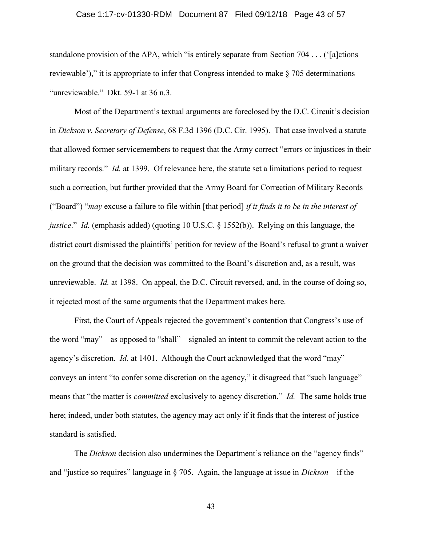### Case 1:17-cv-01330-RDM Document 87 Filed 09/12/18 Page 43 of 57

standalone provision of the APA, which "is entirely separate from Section 704 . . . ('[a]ctions reviewable')," it is appropriate to infer that Congress intended to make § 705 determinations "unreviewable." Dkt. 59-1 at 36 n.3.

 Most of the Department's textual arguments are foreclosed by the D.C. Circuit's decision in Dickson v. Secretary of Defense, 68 F.3d 1396 (D.C. Cir. 1995). That case involved a statute that allowed former servicemembers to request that the Army correct "errors or injustices in their military records." *Id.* at 1399. Of relevance here, the statute set a limitations period to request such a correction, but further provided that the Army Board for Correction of Military Records ("Board") "may excuse a failure to file within [that period] if it finds it to be in the interest of justice." Id. (emphasis added) (quoting 10 U.S.C. § 1552(b)). Relying on this language, the district court dismissed the plaintiffs' petition for review of the Board's refusal to grant a waiver on the ground that the decision was committed to the Board's discretion and, as a result, was unreviewable. Id. at 1398. On appeal, the D.C. Circuit reversed, and, in the course of doing so, it rejected most of the same arguments that the Department makes here.

First, the Court of Appeals rejected the government's contention that Congress's use of the word "may"—as opposed to "shall"—signaled an intent to commit the relevant action to the agency's discretion. Id. at 1401. Although the Court acknowledged that the word "may" conveys an intent "to confer some discretion on the agency," it disagreed that "such language" means that "the matter is *committed* exclusively to agency discretion." *Id.* The same holds true here; indeed, under both statutes, the agency may act only if it finds that the interest of justice standard is satisfied.

The *Dickson* decision also undermines the Department's reliance on the "agency finds" and "justice so requires" language in § 705. Again, the language at issue in Dickson—if the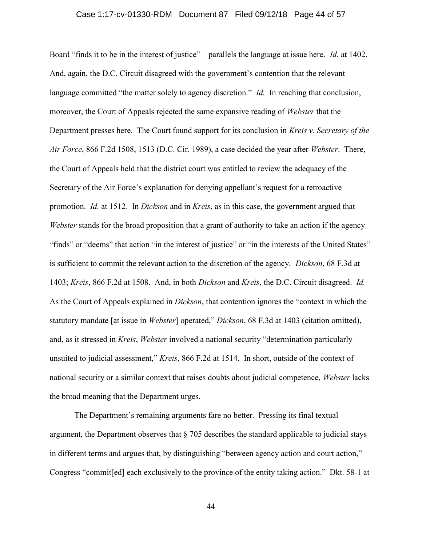### Case 1:17-cv-01330-RDM Document 87 Filed 09/12/18 Page 44 of 57

Board "finds it to be in the interest of justice"—parallels the language at issue here. *Id.* at 1402. And, again, the D.C. Circuit disagreed with the government's contention that the relevant language committed "the matter solely to agency discretion." *Id.* In reaching that conclusion, moreover, the Court of Appeals rejected the same expansive reading of Webster that the Department presses here. The Court found support for its conclusion in Kreis v. Secretary of the Air Force, 866 F.2d 1508, 1513 (D.C. Cir. 1989), a case decided the year after Webster. There, the Court of Appeals held that the district court was entitled to review the adequacy of the Secretary of the Air Force's explanation for denying appellant's request for a retroactive promotion. Id. at 1512. In Dickson and in Kreis, as in this case, the government argued that Webster stands for the broad proposition that a grant of authority to take an action if the agency "finds" or "deems" that action "in the interest of justice" or "in the interests of the United States" is sufficient to commit the relevant action to the discretion of the agency. *Dickson*, 68 F.3d at 1403; Kreis, 866 F.2d at 1508. And, in both Dickson and Kreis, the D.C. Circuit disagreed. Id. As the Court of Appeals explained in Dickson, that contention ignores the "context in which the statutory mandate [at issue in Webster] operated," Dickson, 68 F.3d at 1403 (citation omitted), and, as it stressed in Kreis, Webster involved a national security "determination particularly unsuited to judicial assessment," Kreis, 866 F.2d at 1514. In short, outside of the context of national security or a similar context that raises doubts about judicial competence, Webster lacks the broad meaning that the Department urges.

The Department's remaining arguments fare no better. Pressing its final textual argument, the Department observes that § 705 describes the standard applicable to judicial stays in different terms and argues that, by distinguishing "between agency action and court action," Congress "commit[ed] each exclusively to the province of the entity taking action." Dkt. 58-1 at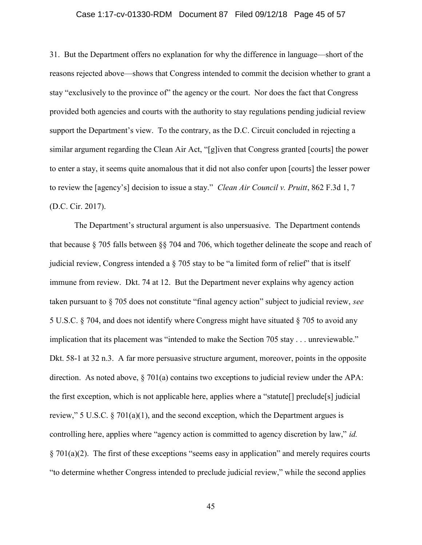### Case 1:17-cv-01330-RDM Document 87 Filed 09/12/18 Page 45 of 57

31. But the Department offers no explanation for why the difference in language—short of the reasons rejected above—shows that Congress intended to commit the decision whether to grant a stay "exclusively to the province of" the agency or the court. Nor does the fact that Congress provided both agencies and courts with the authority to stay regulations pending judicial review support the Department's view. To the contrary, as the D.C. Circuit concluded in rejecting a similar argument regarding the Clean Air Act, "[g]iven that Congress granted [courts] the power to enter a stay, it seems quite anomalous that it did not also confer upon [courts] the lesser power to review the [agency's] decision to issue a stay." Clean Air Council v. Pruitt, 862 F.3d 1, 7 (D.C. Cir. 2017).

The Department's structural argument is also unpersuasive. The Department contends that because § 705 falls between §§ 704 and 706, which together delineate the scope and reach of judicial review, Congress intended a  $\S$  705 stay to be "a limited form of relief" that is itself immune from review. Dkt. 74 at 12. But the Department never explains why agency action taken pursuant to § 705 does not constitute "final agency action" subject to judicial review, see 5 U.S.C. § 704, and does not identify where Congress might have situated § 705 to avoid any implication that its placement was "intended to make the Section 705 stay . . . unreviewable." Dkt. 58-1 at 32 n.3. A far more persuasive structure argument, moreover, points in the opposite direction. As noted above, § 701(a) contains two exceptions to judicial review under the APA: the first exception, which is not applicable here, applies where a "statute[] preclude[s] judicial review," 5 U.S.C.  $\S 701(a)(1)$ , and the second exception, which the Department argues is controlling here, applies where "agency action is committed to agency discretion by law," id.  $§ 701(a)(2)$ . The first of these exceptions "seems easy in application" and merely requires courts "to determine whether Congress intended to preclude judicial review," while the second applies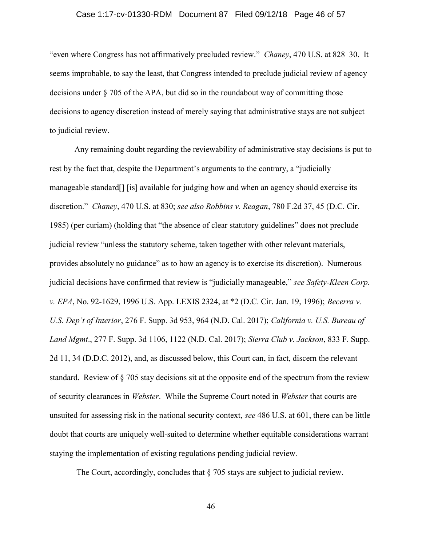### Case 1:17-cv-01330-RDM Document 87 Filed 09/12/18 Page 46 of 57

"even where Congress has not affirmatively precluded review." Chaney, 470 U.S. at 828–30. It seems improbable, to say the least, that Congress intended to preclude judicial review of agency decisions under § 705 of the APA, but did so in the roundabout way of committing those decisions to agency discretion instead of merely saying that administrative stays are not subject to judicial review.

Any remaining doubt regarding the reviewability of administrative stay decisions is put to rest by the fact that, despite the Department's arguments to the contrary, a "judicially manageable standard[] [is] available for judging how and when an agency should exercise its discretion." Chaney, 470 U.S. at 830; see also Robbins v. Reagan, 780 F.2d 37, 45 (D.C. Cir. 1985) (per curiam) (holding that "the absence of clear statutory guidelines" does not preclude judicial review "unless the statutory scheme, taken together with other relevant materials, provides absolutely no guidance" as to how an agency is to exercise its discretion). Numerous judicial decisions have confirmed that review is "judicially manageable," see Safety-Kleen Corp. v. EPA, No. 92-1629, 1996 U.S. App. LEXIS 2324, at \*2 (D.C. Cir. Jan. 19, 1996); Becerra v. U.S. Dep't of Interior, 276 F. Supp. 3d 953, 964 (N.D. Cal. 2017); California v. U.S. Bureau of Land Mgmt., 277 F. Supp. 3d 1106, 1122 (N.D. Cal. 2017); Sierra Club v. Jackson, 833 F. Supp. 2d 11, 34 (D.D.C. 2012), and, as discussed below, this Court can, in fact, discern the relevant standard. Review of § 705 stay decisions sit at the opposite end of the spectrum from the review of security clearances in Webster. While the Supreme Court noted in Webster that courts are unsuited for assessing risk in the national security context, see 486 U.S. at 601, there can be little doubt that courts are uniquely well-suited to determine whether equitable considerations warrant staying the implementation of existing regulations pending judicial review.

The Court, accordingly, concludes that § 705 stays are subject to judicial review.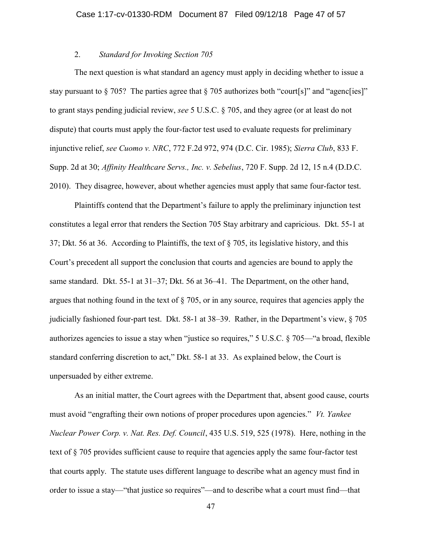# 2. Standard for Invoking Section 705

The next question is what standard an agency must apply in deciding whether to issue a stay pursuant to  $\S 705$ ? The parties agree that  $\S 705$  authorizes both "court[s]" and "agenc[ies]" to grant stays pending judicial review, see 5 U.S.C. § 705, and they agree (or at least do not dispute) that courts must apply the four-factor test used to evaluate requests for preliminary injunctive relief, see Cuomo v. NRC, 772 F.2d 972, 974 (D.C. Cir. 1985); Sierra Club, 833 F. Supp. 2d at 30; Affinity Healthcare Servs., Inc. v. Sebelius, 720 F. Supp. 2d 12, 15 n.4 (D.D.C. 2010). They disagree, however, about whether agencies must apply that same four-factor test.

Plaintiffs contend that the Department's failure to apply the preliminary injunction test constitutes a legal error that renders the Section 705 Stay arbitrary and capricious. Dkt. 55-1 at 37; Dkt. 56 at 36. According to Plaintiffs, the text of § 705, its legislative history, and this Court's precedent all support the conclusion that courts and agencies are bound to apply the same standard. Dkt. 55-1 at 31–37; Dkt. 56 at 36–41. The Department, on the other hand, argues that nothing found in the text of  $\S$  705, or in any source, requires that agencies apply the judicially fashioned four-part test. Dkt. 58-1 at 38–39. Rather, in the Department's view, § 705 authorizes agencies to issue a stay when "justice so requires," 5 U.S.C. § 705—"a broad, flexible standard conferring discretion to act," Dkt. 58-1 at 33. As explained below, the Court is unpersuaded by either extreme.

As an initial matter, the Court agrees with the Department that, absent good cause, courts must avoid "engrafting their own notions of proper procedures upon agencies." *Vt. Yankee* Nuclear Power Corp. v. Nat. Res. Def. Council, 435 U.S. 519, 525 (1978). Here, nothing in the text of § 705 provides sufficient cause to require that agencies apply the same four-factor test that courts apply. The statute uses different language to describe what an agency must find in order to issue a stay—"that justice so requires"—and to describe what a court must find—that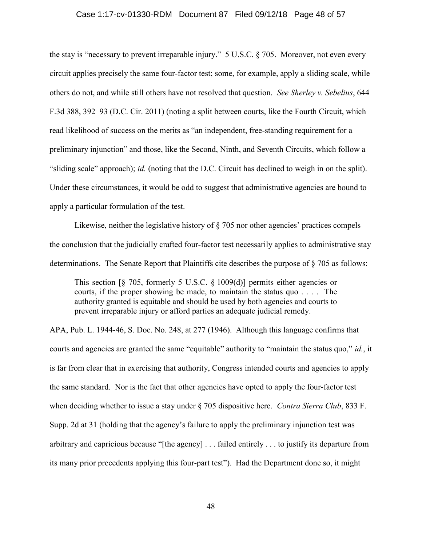#### Case 1:17-cv-01330-RDM Document 87 Filed 09/12/18 Page 48 of 57

the stay is "necessary to prevent irreparable injury." 5 U.S.C. § 705. Moreover, not even every circuit applies precisely the same four-factor test; some, for example, apply a sliding scale, while others do not, and while still others have not resolved that question. See Sherley v. Sebelius, 644 F.3d 388, 392–93 (D.C. Cir. 2011) (noting a split between courts, like the Fourth Circuit, which read likelihood of success on the merits as "an independent, free-standing requirement for a preliminary injunction" and those, like the Second, Ninth, and Seventh Circuits, which follow a "sliding scale" approach); id. (noting that the D.C. Circuit has declined to weigh in on the split). Under these circumstances, it would be odd to suggest that administrative agencies are bound to apply a particular formulation of the test.

Likewise, neither the legislative history of  $\S$  705 nor other agencies' practices compels the conclusion that the judicially crafted four-factor test necessarily applies to administrative stay determinations. The Senate Report that Plaintiffs cite describes the purpose of § 705 as follows:

This section  $\lceil \frac{6}{5} \rceil$  705, formerly 5 U.S.C.  $\frac{6}{5} \lceil \frac{1009(d)}{d} \rceil$  permits either agencies or courts, if the proper showing be made, to maintain the status quo . . . . The authority granted is equitable and should be used by both agencies and courts to prevent irreparable injury or afford parties an adequate judicial remedy.

APA, Pub. L. 1944-46, S. Doc. No. 248, at 277 (1946). Although this language confirms that courts and agencies are granted the same "equitable" authority to "maintain the status quo," id., it is far from clear that in exercising that authority, Congress intended courts and agencies to apply the same standard. Nor is the fact that other agencies have opted to apply the four-factor test when deciding whether to issue a stay under § 705 dispositive here. Contra Sierra Club, 833 F. Supp. 2d at 31 (holding that the agency's failure to apply the preliminary injunction test was arbitrary and capricious because "[the agency] . . . failed entirely . . . to justify its departure from its many prior precedents applying this four-part test"). Had the Department done so, it might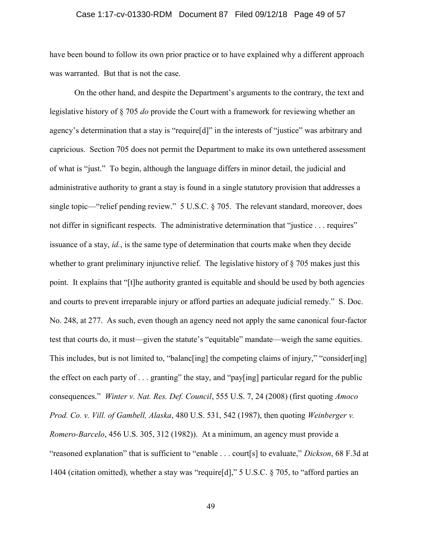### Case 1:17-cv-01330-RDM Document 87 Filed 09/12/18 Page 49 of 57

have been bound to follow its own prior practice or to have explained why a different approach was warranted. But that is not the case.

 On the other hand, and despite the Department's arguments to the contrary, the text and legislative history of § 705 do provide the Court with a framework for reviewing whether an agency's determination that a stay is "require[d]" in the interests of "justice" was arbitrary and capricious. Section 705 does not permit the Department to make its own untethered assessment of what is "just." To begin, although the language differs in minor detail, the judicial and administrative authority to grant a stay is found in a single statutory provision that addresses a single topic—"relief pending review." 5 U.S.C. § 705. The relevant standard, moreover, does not differ in significant respects. The administrative determination that "justice . . . requires" issuance of a stay, id., is the same type of determination that courts make when they decide whether to grant preliminary injunctive relief. The legislative history of  $\S$  705 makes just this point. It explains that "[t]he authority granted is equitable and should be used by both agencies and courts to prevent irreparable injury or afford parties an adequate judicial remedy." S. Doc. No. 248, at 277. As such, even though an agency need not apply the same canonical four-factor test that courts do, it must—given the statute's "equitable" mandate—weigh the same equities. This includes, but is not limited to, "balancor inglesting the competing claims of injury," "consider[ing] the effect on each party of . . . granting" the stay, and "pay[ing] particular regard for the public consequences." Winter v. Nat. Res. Def. Council, 555 U.S. 7, 24 (2008) (first quoting Amoco Prod. Co. v. Vill. of Gambell, Alaska, 480 U.S. 531, 542 (1987), then quoting Weinberger v. Romero-Barcelo, 456 U.S. 305, 312 (1982)). At a minimum, an agency must provide a "reasoned explanation" that is sufficient to "enable . . . court[s] to evaluate," Dickson, 68 F.3d at 1404 (citation omitted), whether a stay was "require[d]," 5 U.S.C. § 705, to "afford parties an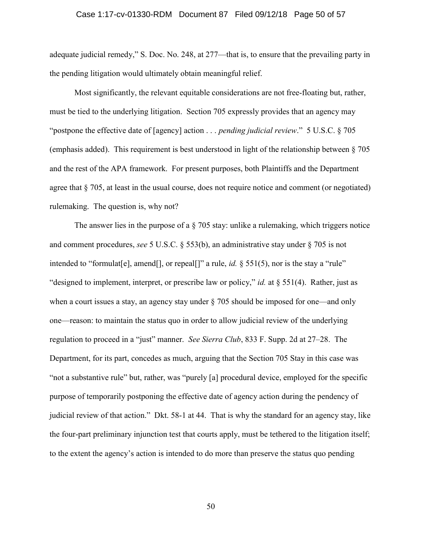### Case 1:17-cv-01330-RDM Document 87 Filed 09/12/18 Page 50 of 57

adequate judicial remedy," S. Doc. No. 248, at 277—that is, to ensure that the prevailing party in the pending litigation would ultimately obtain meaningful relief.

Most significantly, the relevant equitable considerations are not free-floating but, rather, must be tied to the underlying litigation. Section 705 expressly provides that an agency may "postpone the effective date of [agency] action  $\ldots$  pending judicial review." 5 U.S.C. § 705 (emphasis added). This requirement is best understood in light of the relationship between § 705 and the rest of the APA framework. For present purposes, both Plaintiffs and the Department agree that § 705, at least in the usual course, does not require notice and comment (or negotiated) rulemaking. The question is, why not?

The answer lies in the purpose of a  $\S$  705 stay: unlike a rulemaking, which triggers notice and comment procedures, see 5 U.S.C.  $\S$  553(b), an administrative stay under  $\S$  705 is not intended to "formulat [e], amend [], or repeal []" a rule, id.  $\S$  551(5), nor is the stay a "rule" "designed to implement, interpret, or prescribe law or policy," id. at § 551(4). Rather, just as when a court issues a stay, an agency stay under § 705 should be imposed for one—and only one—reason: to maintain the status quo in order to allow judicial review of the underlying regulation to proceed in a "just" manner. See Sierra Club, 833 F. Supp. 2d at 27–28. The Department, for its part, concedes as much, arguing that the Section 705 Stay in this case was "not a substantive rule" but, rather, was "purely [a] procedural device, employed for the specific purpose of temporarily postponing the effective date of agency action during the pendency of judicial review of that action." Dkt. 58-1 at 44. That is why the standard for an agency stay, like the four-part preliminary injunction test that courts apply, must be tethered to the litigation itself; to the extent the agency's action is intended to do more than preserve the status quo pending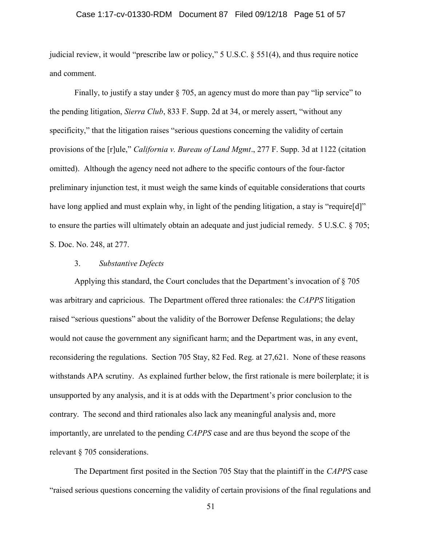### Case 1:17-cv-01330-RDM Document 87 Filed 09/12/18 Page 51 of 57

judicial review, it would "prescribe law or policy," 5 U.S.C. § 551(4), and thus require notice and comment.

Finally, to justify a stay under § 705, an agency must do more than pay "lip service" to the pending litigation, *Sierra Club*, 833 F. Supp. 2d at 34, or merely assert, "without any specificity," that the litigation raises "serious questions concerning the validity of certain provisions of the [r]ule," California v. Bureau of Land Mgmt., 277 F. Supp. 3d at 1122 (citation omitted). Although the agency need not adhere to the specific contours of the four-factor preliminary injunction test, it must weigh the same kinds of equitable considerations that courts have long applied and must explain why, in light of the pending litigation, a stay is "require[d]" to ensure the parties will ultimately obtain an adequate and just judicial remedy. 5 U.S.C. § 705; S. Doc. No. 248, at 277.

### 3. Substantive Defects

Applying this standard, the Court concludes that the Department's invocation of § 705 was arbitrary and capricious. The Department offered three rationales: the CAPPS litigation raised "serious questions" about the validity of the Borrower Defense Regulations; the delay would not cause the government any significant harm; and the Department was, in any event, reconsidering the regulations. Section 705 Stay, 82 Fed. Reg. at 27,621. None of these reasons withstands APA scrutiny. As explained further below, the first rationale is mere boilerplate; it is unsupported by any analysis, and it is at odds with the Department's prior conclusion to the contrary. The second and third rationales also lack any meaningful analysis and, more importantly, are unrelated to the pending CAPPS case and are thus beyond the scope of the relevant § 705 considerations.

The Department first posited in the Section 705 Stay that the plaintiff in the CAPPS case "raised serious questions concerning the validity of certain provisions of the final regulations and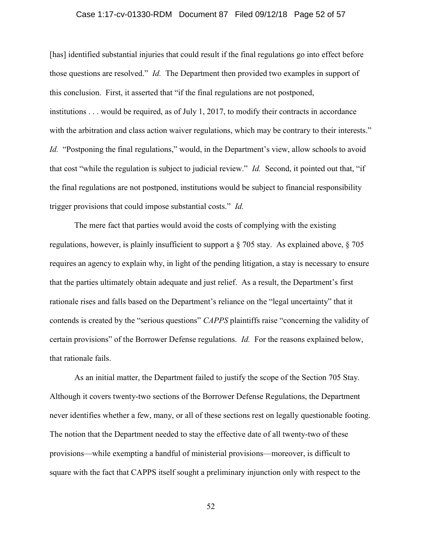### Case 1:17-cv-01330-RDM Document 87 Filed 09/12/18 Page 52 of 57

[has] identified substantial injuries that could result if the final regulations go into effect before those questions are resolved." Id. The Department then provided two examples in support of this conclusion. First, it asserted that "if the final regulations are not postponed, institutions . . . would be required, as of July 1, 2017, to modify their contracts in accordance with the arbitration and class action waiver regulations, which may be contrary to their interests." Id. "Postponing the final regulations," would, in the Department's view, allow schools to avoid that cost "while the regulation is subject to judicial review." Id. Second, it pointed out that, "if the final regulations are not postponed, institutions would be subject to financial responsibility trigger provisions that could impose substantial costs." Id.

The mere fact that parties would avoid the costs of complying with the existing regulations, however, is plainly insufficient to support a § 705 stay. As explained above, § 705 requires an agency to explain why, in light of the pending litigation, a stay is necessary to ensure that the parties ultimately obtain adequate and just relief. As a result, the Department's first rationale rises and falls based on the Department's reliance on the "legal uncertainty" that it contends is created by the "serious questions" CAPPS plaintiffs raise "concerning the validity of certain provisions" of the Borrower Defense regulations. Id. For the reasons explained below, that rationale fails.

As an initial matter, the Department failed to justify the scope of the Section 705 Stay. Although it covers twenty-two sections of the Borrower Defense Regulations, the Department never identifies whether a few, many, or all of these sections rest on legally questionable footing. The notion that the Department needed to stay the effective date of all twenty-two of these provisions—while exempting a handful of ministerial provisions—moreover, is difficult to square with the fact that CAPPS itself sought a preliminary injunction only with respect to the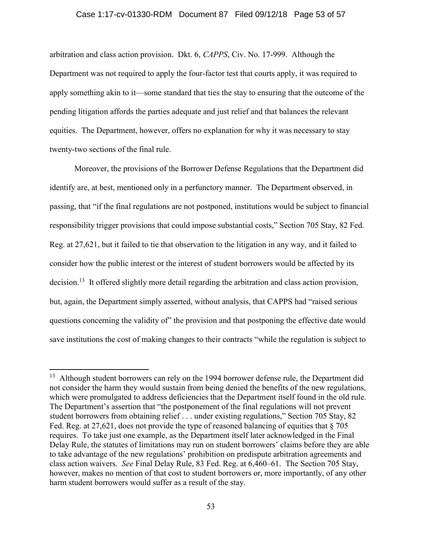#### Case 1:17-cv-01330-RDM Document 87 Filed 09/12/18 Page 53 of 57

arbitration and class action provision. Dkt. 6, CAPPS, Civ. No. 17-999. Although the Department was not required to apply the four-factor test that courts apply, it was required to apply something akin to it—some standard that ties the stay to ensuring that the outcome of the pending litigation affords the parties adequate and just relief and that balances the relevant equities. The Department, however, offers no explanation for why it was necessary to stay twenty-two sections of the final rule.

Moreover, the provisions of the Borrower Defense Regulations that the Department did identify are, at best, mentioned only in a perfunctory manner. The Department observed, in passing, that "if the final regulations are not postponed, institutions would be subject to financial responsibility trigger provisions that could impose substantial costs," Section 705 Stay, 82 Fed. Reg. at 27,621, but it failed to tie that observation to the litigation in any way, and it failed to consider how the public interest or the interest of student borrowers would be affected by its decision.<sup>13</sup> It offered slightly more detail regarding the arbitration and class action provision, but, again, the Department simply asserted, without analysis, that CAPPS had "raised serious questions concerning the validity of" the provision and that postponing the effective date would save institutions the cost of making changes to their contracts "while the regulation is subject to

 $\overline{a}$ 

<sup>&</sup>lt;sup>13</sup> Although student borrowers can rely on the 1994 borrower defense rule, the Department did not consider the harm they would sustain from being denied the benefits of the new regulations, which were promulgated to address deficiencies that the Department itself found in the old rule. The Department's assertion that "the postponement of the final regulations will not prevent student borrowers from obtaining relief . . . under existing regulations," Section 705 Stay, 82 Fed. Reg. at 27,621, does not provide the type of reasoned balancing of equities that  $\S 705$ requires. To take just one example, as the Department itself later acknowledged in the Final Delay Rule, the statutes of limitations may run on student borrowers' claims before they are able to take advantage of the new regulations' prohibition on predispute arbitration agreements and class action waivers. See Final Delay Rule, 83 Fed. Reg. at 6,460–61. The Section 705 Stay, however, makes no mention of that cost to student borrowers or, more importantly, of any other harm student borrowers would suffer as a result of the stay.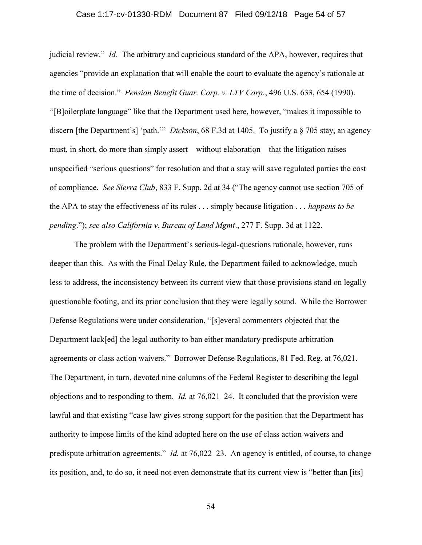### Case 1:17-cv-01330-RDM Document 87 Filed 09/12/18 Page 54 of 57

judicial review." Id. The arbitrary and capricious standard of the APA, however, requires that agencies "provide an explanation that will enable the court to evaluate the agency's rationale at the time of decision." Pension Benefit Guar. Corp. v. LTV Corp., 496 U.S. 633, 654 (1990). "[B]oilerplate language" like that the Department used here, however, "makes it impossible to discern [the Department's] 'path.'" *Dickson*, 68 F.3d at 1405. To justify a  $\S$  705 stay, an agency must, in short, do more than simply assert—without elaboration—that the litigation raises unspecified "serious questions" for resolution and that a stay will save regulated parties the cost of compliance. See Sierra Club, 833 F. Supp. 2d at 34 ("The agency cannot use section 705 of the APA to stay the effectiveness of its rules  $\dots$  simply because litigation  $\dots$  happens to be pending."); see also California v. Bureau of Land Mgmt., 277 F. Supp. 3d at 1122.

The problem with the Department's serious-legal-questions rationale, however, runs deeper than this. As with the Final Delay Rule, the Department failed to acknowledge, much less to address, the inconsistency between its current view that those provisions stand on legally questionable footing, and its prior conclusion that they were legally sound. While the Borrower Defense Regulations were under consideration, "[s]everal commenters objected that the Department lack[ed] the legal authority to ban either mandatory predispute arbitration agreements or class action waivers." Borrower Defense Regulations, 81 Fed. Reg. at 76,021. The Department, in turn, devoted nine columns of the Federal Register to describing the legal objections and to responding to them. Id. at  $76,021-24$ . It concluded that the provision were lawful and that existing "case law gives strong support for the position that the Department has authority to impose limits of the kind adopted here on the use of class action waivers and predispute arbitration agreements." *Id.* at 76,022–23. An agency is entitled, of course, to change its position, and, to do so, it need not even demonstrate that its current view is "better than [its]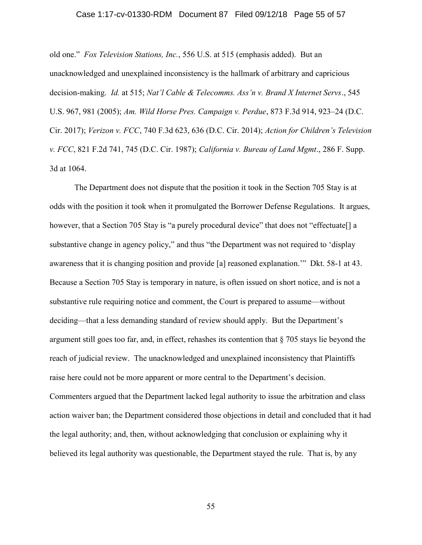### Case 1:17-cv-01330-RDM Document 87 Filed 09/12/18 Page 55 of 57

old one." Fox Television Stations, Inc., 556 U.S. at 515 (emphasis added). But an unacknowledged and unexplained inconsistency is the hallmark of arbitrary and capricious decision-making. Id. at 515; Nat'l Cable & Telecomms. Ass'n v. Brand X Internet Servs., 545 U.S. 967, 981 (2005); Am. Wild Horse Pres. Campaign v. Perdue, 873 F.3d 914, 923–24 (D.C. Cir. 2017); Verizon v. FCC, 740 F.3d 623, 636 (D.C. Cir. 2014); Action for Children's Television v. FCC, 821 F.2d 741, 745 (D.C. Cir. 1987); California v. Bureau of Land Mgmt., 286 F. Supp. 3d at 1064.

The Department does not dispute that the position it took in the Section 705 Stay is at odds with the position it took when it promulgated the Borrower Defense Regulations. It argues, however, that a Section 705 Stay is "a purely procedural device" that does not "effectuate<sup>[]</sup> a substantive change in agency policy," and thus "the Department was not required to 'display awareness that it is changing position and provide [a] reasoned explanation.'" Dkt. 58-1 at 43. Because a Section 705 Stay is temporary in nature, is often issued on short notice, and is not a substantive rule requiring notice and comment, the Court is prepared to assume—without deciding—that a less demanding standard of review should apply. But the Department's argument still goes too far, and, in effect, rehashes its contention that § 705 stays lie beyond the reach of judicial review. The unacknowledged and unexplained inconsistency that Plaintiffs raise here could not be more apparent or more central to the Department's decision. Commenters argued that the Department lacked legal authority to issue the arbitration and class action waiver ban; the Department considered those objections in detail and concluded that it had the legal authority; and, then, without acknowledging that conclusion or explaining why it believed its legal authority was questionable, the Department stayed the rule. That is, by any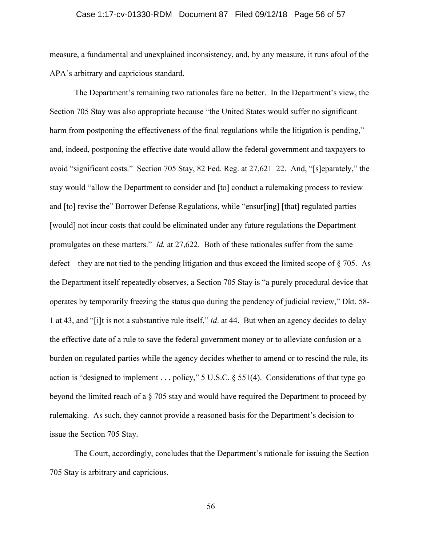### Case 1:17-cv-01330-RDM Document 87 Filed 09/12/18 Page 56 of 57

measure, a fundamental and unexplained inconsistency, and, by any measure, it runs afoul of the APA's arbitrary and capricious standard.

The Department's remaining two rationales fare no better. In the Department's view, the Section 705 Stay was also appropriate because "the United States would suffer no significant harm from postponing the effectiveness of the final regulations while the litigation is pending," and, indeed, postponing the effective date would allow the federal government and taxpayers to avoid "significant costs." Section 705 Stay, 82 Fed. Reg. at 27,621–22. And, "[s]eparately," the stay would "allow the Department to consider and [to] conduct a rulemaking process to review and [to] revise the" Borrower Defense Regulations, while "ensur[ing] [that] regulated parties [would] not incur costs that could be eliminated under any future regulations the Department promulgates on these matters." Id. at 27,622. Both of these rationales suffer from the same defect—they are not tied to the pending litigation and thus exceed the limited scope of § 705. As the Department itself repeatedly observes, a Section 705 Stay is "a purely procedural device that operates by temporarily freezing the status quo during the pendency of judicial review," Dkt. 58- 1 at 43, and "[i]t is not a substantive rule itself," id. at 44. But when an agency decides to delay the effective date of a rule to save the federal government money or to alleviate confusion or a burden on regulated parties while the agency decides whether to amend or to rescind the rule, its action is "designed to implement . . . policy," 5 U.S.C. § 551(4). Considerations of that type go beyond the limited reach of a § 705 stay and would have required the Department to proceed by rulemaking. As such, they cannot provide a reasoned basis for the Department's decision to issue the Section 705 Stay.

The Court, accordingly, concludes that the Department's rationale for issuing the Section 705 Stay is arbitrary and capricious.